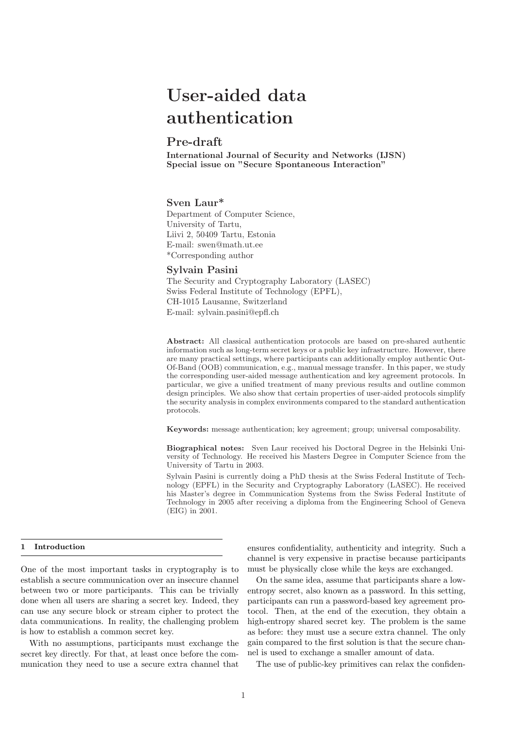# User-aided data authentication

# Pre-draft

International Journal of Security and Networks (IJSN) Special issue on "Secure Spontaneous Interaction"

# Sven Laur\*

Department of Computer Science, University of Tartu, Liivi 2, 50409 Tartu, Estonia E-mail: swen@math.ut.ee \*Corresponding author

# Sylvain Pasini

The Security and Cryptography Laboratory (LASEC) Swiss Federal Institute of Technology (EPFL), CH-1015 Lausanne, Switzerland E-mail: sylvain.pasini@epfl.ch

Abstract: All classical authentication protocols are based on pre-shared authentic information such as long-term secret keys or a public key infrastructure. However, there are many practical settings, where participants can additionally employ authentic Out-Of-Band (OOB) communication, e.g., manual message transfer. In this paper, we study the corresponding user-aided message authentication and key agreement protocols. In particular, we give a unified treatment of many previous results and outline common design principles. We also show that certain properties of user-aided protocols simplify the security analysis in complex environments compared to the standard authentication protocols.

Keywords: message authentication; key agreement; group; universal composability.

Biographical notes: Sven Laur received his Doctoral Degree in the Helsinki University of Technology. He received his Masters Degree in Computer Science from the University of Tartu in 2003.

Sylvain Pasini is currently doing a PhD thesis at the Swiss Federal Institute of Technology (EPFL) in the Security and Cryptography Laboratory (LASEC). He received his Master's degree in Communication Systems from the Swiss Federal Institute of Technology in 2005 after receiving a diploma from the Engineering School of Geneva (EIG) in 2001.

# 1 Introduction

One of the most important tasks in cryptography is to establish a secure communication over an insecure channel between two or more participants. This can be trivially done when all users are sharing a secret key. Indeed, they can use any secure block or stream cipher to protect the data communications. In reality, the challenging problem is how to establish a common secret key.

With no assumptions, participants must exchange the secret key directly. For that, at least once before the communication they need to use a secure extra channel that ensures confidentiality, authenticity and integrity. Such a channel is very expensive in practise because participants must be physically close while the keys are exchanged.

On the same idea, assume that participants share a lowentropy secret, also known as a password. In this setting, participants can run a password-based key agreement protocol. Then, at the end of the execution, they obtain a high-entropy shared secret key. The problem is the same as before: they must use a secure extra channel. The only gain compared to the first solution is that the secure channel is used to exchange a smaller amount of data.

The use of public-key primitives can relax the confiden-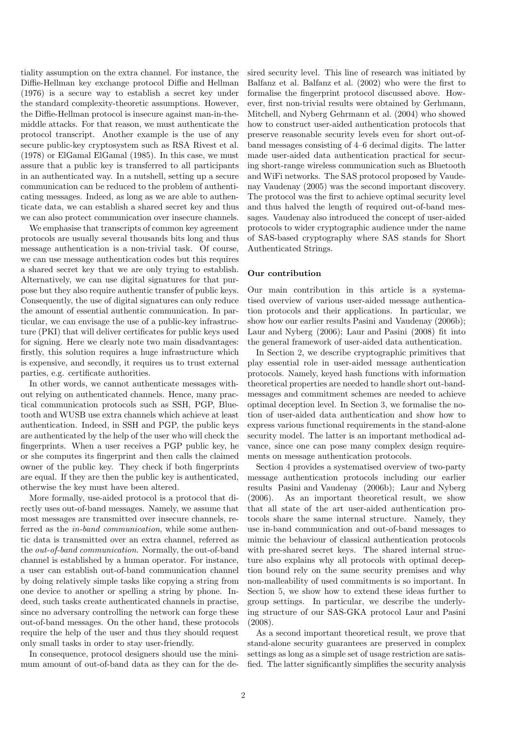tiality assumption on the extra channel. For instance, the Diffie-Hellman key exchange protocol Diffie and Hellman (1976) is a secure way to establish a secret key under the standard complexity-theoretic assumptions. However, the Diffie-Hellman protocol is insecure against man-in-themiddle attacks. For that reason, we must authenticate the protocol transcript. Another example is the use of any secure public-key cryptosystem such as RSA Rivest et al. (1978) or ElGamal ElGamal (1985). In this case, we must assure that a public key is transferred to all participants in an authenticated way. In a nutshell, setting up a secure communication can be reduced to the problem of authenticating messages. Indeed, as long as we are able to authenticate data, we can establish a shared secret key and thus we can also protect communication over insecure channels.

We emphasise that transcripts of common key agreement protocols are usually several thousands bits long and thus message authentication is a non-trivial task. Of course, we can use message authentication codes but this requires a shared secret key that we are only trying to establish. Alternatively, we can use digital signatures for that purpose but they also require authentic transfer of public keys. Consequently, the use of digital signatures can only reduce the amount of essential authentic communication. In particular, we can envisage the use of a public-key infrastructure (PKI) that will deliver certificates for public keys used for signing. Here we clearly note two main disadvantages: firstly, this solution requires a huge infrastructure which is expensive, and secondly, it requires us to trust external parties, e.g. certificate authorities.

In other words, we cannot authenticate messages without relying on authenticated channels. Hence, many practical communication protocols such as SSH, PGP, Bluetooth and WUSB use extra channels which achieve at least authentication. Indeed, in SSH and PGP, the public keys are authenticated by the help of the user who will check the fingerprints. When a user receives a PGP public key, he or she computes its fingerprint and then calls the claimed owner of the public key. They check if both fingerprints are equal. If they are then the public key is authenticated, otherwise the key must have been altered.

More formally, use-aided protocol is a protocol that directly uses out-of-band messages. Namely, we assume that most messages are transmitted over insecure channels, referred as the *in-band communication*, while some authentic data is transmitted over an extra channel, referred as the out-of-band communication. Normally, the out-of-band channel is established by a human operator. For instance, a user can establish out-of-band communication channel by doing relatively simple tasks like copying a string from one device to another or spelling a string by phone. Indeed, such tasks create authenticated channels in practise, since no adversary controlling the network can forge these out-of-band messages. On the other hand, these protocols require the help of the user and thus they should request only small tasks in order to stay user-friendly.

In consequence, protocol designers should use the minimum amount of out-of-band data as they can for the desired security level. This line of research was initiated by Balfanz et al. Balfanz et al. (2002) who were the first to formalise the fingerprint protocol discussed above. However, first non-trivial results were obtained by Gerhmann, Mitchell, and Nyberg Gehrmann et al. (2004) who showed how to construct user-aided authentication protocols that preserve reasonable security levels even for short out-ofband messages consisting of 4–6 decimal digits. The latter made user-aided data authentication practical for securing short-range wireless communication such as Bluetooth and WiFi networks. The SAS protocol proposed by Vaudenay Vaudenay (2005) was the second important discovery. The protocol was the first to achieve optimal security level and thus halved the length of required out-of-band messages. Vaudenay also introduced the concept of user-aided protocols to wider cryptographic audience under the name of SAS-based cryptography where SAS stands for Short Authenticated Strings.

#### Our contribution

Our main contribution in this article is a systematised overview of various user-aided message authentication protocols and their applications. In particular, we show how our earlier results Pasini and Vaudenay (2006b); Laur and Nyberg (2006); Laur and Pasini (2008) fit into the general framework of user-aided data authentication.

In Section 2, we describe cryptographic primitives that play essential role in user-aided message authentication protocols. Namely, keyed hash functions with information theoretical properties are needed to handle short out-bandmessages and commitment schemes are needed to achieve optimal deception level. In Section 3, we formalise the notion of user-aided data authentication and show how to express various functional requirements in the stand-alone security model. The latter is an important methodical advance, since one can pose many complex design requirements on message authentication protocols.

Section 4 provides a systematised overview of two-party message authentication protocols including our earlier results Pasini and Vaudenay (2006b); Laur and Nyberg (2006). As an important theoretical result, we show that all state of the art user-aided authentication protocols share the same internal structure. Namely, they use in-band communication and out-of-band messages to mimic the behaviour of classical authentication protocols with pre-shared secret keys. The shared internal structure also explains why all protocols with optimal deception bound rely on the same security premises and why non-malleability of used commitments is so important. In Section 5, we show how to extend these ideas further to group settings. In particular, we describe the underlying structure of our SAS-GKA protocol Laur and Pasini (2008).

As a second important theoretical result, we prove that stand-alone security guarantees are preserved in complex settings as long as a simple set of usage restriction are satisfied. The latter significantly simplifies the security analysis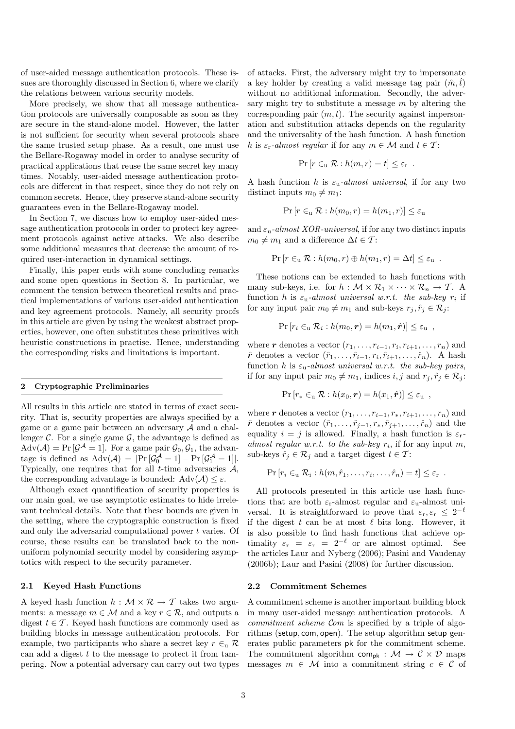of user-aided message authentication protocols. These issues are thoroughly discussed in Section 6, where we clarify the relations between various security models.

More precisely, we show that all message authentication protocols are universally composable as soon as they are secure in the stand-alone model. However, the latter is not sufficient for security when several protocols share the same trusted setup phase. As a result, one must use the Bellare-Rogaway model in order to analyse security of practical applications that reuse the same secret key many times. Notably, user-aided message authentication protocols are different in that respect, since they do not rely on common secrets. Hence, they preserve stand-alone security guarantees even in the Bellare-Rogaway model.

In Section 7, we discuss how to employ user-aided message authentication protocols in order to protect key agreement protocols against active attacks. We also describe some additional measures that decrease the amount of required user-interaction in dynamical settings.

Finally, this paper ends with some concluding remarks and some open questions in Section 8. In particular, we comment the tension between theoretical results and practical implementations of various user-aided authentication and key agreement protocols. Namely, all security proofs in this article are given by using the weakest abstract properties, however, one often substitutes these primitives with heuristic constructions in practise. Hence, understanding the corresponding risks and limitations is important.

# 2 Cryptographic Preliminaries

All results in this article are stated in terms of exact security. That is, security properties are always specified by a game or a game pair between an adversary A and a challenger  $C$ . For a single game  $G$ , the advantage is defined as  $\text{Adv}(\mathcal{A}) = \Pr[\mathcal{G}^{\mathcal{A}} = 1].$  For a game pair  $\mathcal{G}_0, \mathcal{G}_1$ , the advantage is defined as  $\text{Adv}(\mathcal{A}) = |\text{Pr}[\mathcal{G}_0^{\mathcal{A}} = 1] - \text{Pr}[\mathcal{G}_1^{\mathcal{A}} = 1]|.$ Typically, one requires that for all  $t$ -time adversaries  $A$ , the corresponding advantage is bounded:  $\text{Adv}(\mathcal{A}) \leq \varepsilon$ .

Although exact quantification of security properties is our main goal, we use asymptotic estimates to hide irrelevant technical details. Note that these bounds are given in the setting, where the cryptographic construction is fixed and only the adversarial computational power t varies. Of course, these results can be translated back to the nonuniform polynomial security model by considering asymptotics with respect to the security parameter.

# 2.1 Keyed Hash Functions

A keyed hash function  $h : \mathcal{M} \times \mathcal{R} \to \mathcal{T}$  takes two arguments: a message  $m \in \mathcal{M}$  and a key  $r \in \mathcal{R}$ , and outputs a digest  $t \in \mathcal{T}$ . Keyed hash functions are commonly used as building blocks in message authentication protocols. For example, two participants who share a secret key  $r \in \mathbb{R}$ can add a digest  $t$  to the message to protect it from tampering. Now a potential adversary can carry out two types of attacks. First, the adversary might try to impersonate a key holder by creating a valid message tag pair  $(\hat{m}, \hat{t})$ without no additional information. Secondly, the adversary might try to substitute a message  $m$  by altering the corresponding pair  $(m, t)$ . The security against impersonation and substitution attacks depends on the regularity and the universality of the hash function. A hash function h is  $\varepsilon_r$ -almost regular if for any  $m \in \mathcal{M}$  and  $t \in \mathcal{T}$ :

$$
\Pr[r \in_{\mathrm{u}} \mathcal{R} : h(m,r) = t] \leq \varepsilon_{\mathrm{r}}.
$$

A hash function h is  $\varepsilon_{\rm u}$ -almost universal, if for any two distinct inputs  $m_0 \neq m_1$ :

$$
\Pr[r \in_{\mathbf{u}} \mathcal{R} : h(m_0, r) = h(m_1, r)] \le \varepsilon_{\mathbf{u}}
$$

and  $\varepsilon_u$ -almost XOR-universal, if for any two distinct inputs  $m_0 \neq m_1$  and a difference  $\Delta t \in \mathcal{T}$ :

$$
\Pr[r \in_{\mathbf{u}} \mathcal{R} : h(m_0, r) \oplus h(m_1, r) = \Delta t] \leq \varepsilon_{\mathbf{u}}.
$$

These notions can be extended to hash functions with many sub-keys, i.e. for  $h : \mathcal{M} \times \mathcal{R}_1 \times \cdots \times \mathcal{R}_n \to \mathcal{T}$ . A function h is  $\varepsilon_{\rm u}$ -almost universal w.r.t. the sub-key  $r_i$  if for any input pair  $m_0 \neq m_1$  and sub-keys  $r_j, \hat{r}_j \in \mathcal{R}_j$ :

$$
\Pr[r_i \in_u \mathcal{R}_i : h(m_0, r) = h(m_1, \hat{r})] \leq \varepsilon_u ,
$$

where r denotes a vector  $(r_1, \ldots, r_{i-1}, r_i, r_{i+1}, \ldots, r_n)$  and  $\hat{\boldsymbol{r}}$  denotes a vector  $(\hat{r}_1, \ldots, \hat{r}_{i-1}, r_i, \hat{r}_{i+1}, \ldots, \hat{r}_n)$ . A hash function h is  $\varepsilon_u$ -almost universal w.r.t. the sub-key pairs, if for any input pair  $m_0 \neq m_1$ , indices  $i, j$  and  $r_j, \hat{r}_j \in \mathcal{R}_j$ :

$$
\Pr[r_* \in_{\mathbf{u}} \mathcal{R} : h(x_0, \mathbf{r}) = h(x_1, \hat{\mathbf{r}})] \leq \varepsilon_{\mathbf{u}},
$$

where r denotes a vector  $(r_1, \ldots, r_{i-1}, r_*, r_{i+1}, \ldots, r_n)$  and  $\hat{\mathbf{r}}$  denotes a vector  $(\hat{r}_1, \ldots, \hat{r}_{j-1}, r_*, \hat{r}_{j+1}, \ldots, \hat{r}_n)$  and the equality  $i = j$  is allowed. Finally, a hash function is  $\varepsilon_r$ almost regular w.r.t. to the sub-key  $r_i$ , if for any input m, sub-keys  $\hat{r}_i \in \mathcal{R}_i$  and a target digest  $t \in \mathcal{T}$ :

$$
\Pr[r_i \in_u \mathcal{R}_i : h(m, \hat{r}_1, \dots, r_i, \dots, \hat{r}_n) = t] \leq \varepsilon_r.
$$

All protocols presented in this article use hash functions that are both  $\varepsilon_{r}$ -almost regular and  $\varepsilon_{u}$ -almost universal. It is straightforward to prove that  $\varepsilon_{\rm r}, \varepsilon_{\rm r} \leq 2^{-\ell}$ if the digest t can be at most  $\ell$  bits long. However, it is also possible to find hash functions that achieve optimality  $\varepsilon_r = \varepsilon_r = 2^{-\ell}$  or are almost optimal. See the articles Laur and Nyberg (2006); Pasini and Vaudenay (2006b); Laur and Pasini (2008) for further discussion.

#### 2.2 Commitment Schemes

A commitment scheme is another important building block in many user-aided message authentication protocols. A commitment scheme Com is specified by a triple of algorithms (setup, com, open). The setup algorithm setup generates public parameters pk for the commitment scheme. The commitment algorithm  $\mathsf{com}_{\mathsf{pk}} : \mathcal{M} \to \mathcal{C} \times \mathcal{D}$  maps messages  $m \in \mathcal{M}$  into a commitment string  $c \in \mathcal{C}$  of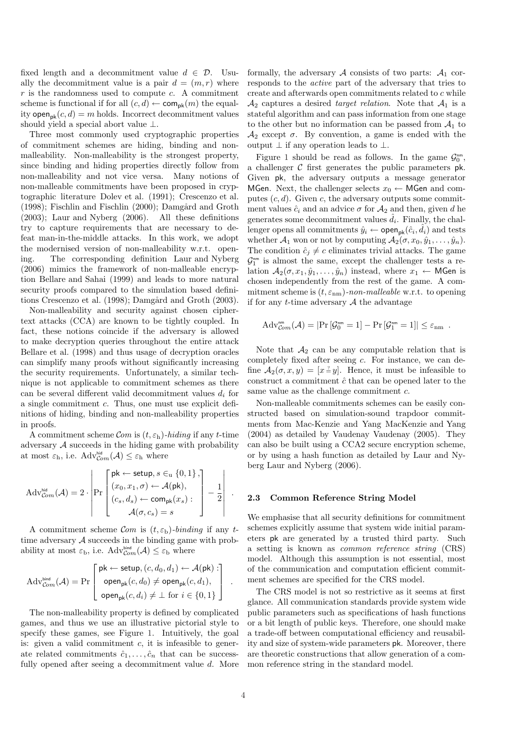fixed length and a decommitment value  $d \in \mathcal{D}$ . Usually the decommitment value is a pair  $d = (m, r)$  where  $r$  is the randomness used to compute  $c$ . A commitment scheme is functional if for all  $(c, d) \leftarrow \text{com}_{\text{pk}}(m)$  the equality open<sub>pk</sub> $(c, d) = m$  holds. Incorrect decommitment values should yield a special abort value  $\perp$ .

Three most commonly used cryptographic properties of commitment schemes are hiding, binding and nonmalleability. Non-malleability is the strongest property, since binding and hiding properties directly follow from non-malleability and not vice versa. Many notions of non-malleable commitments have been proposed in cryptographic literature Dolev et al. (1991); Crescenzo et al.  $(1998)$ : Fischlin and Fischlin  $(2000)$ : Damgård and Groth (2003); Laur and Nyberg (2006). All these definitions try to capture requirements that are necessary to defeat man-in-the-middle attacks. In this work, we adopt the modernised version of non-malleability w.r.t. opening. The corresponding definition Laur and Nyberg (2006) mimics the framework of non-malleable encryption Bellare and Sahai (1999) and leads to more natural security proofs compared to the simulation based definitions Crescenzo et al.  $(1998)$ ; Damgård and Groth  $(2003)$ .

Non-malleability and security against chosen ciphertext attacks (CCA) are known to be tightly coupled. In fact, these notions coincide if the adversary is allowed to make decryption queries throughout the entire attack Bellare et al. (1998) and thus usage of decryption oracles can simplify many proofs without significantly increasing the security requirements. Unfortunately, a similar technique is not applicable to commitment schemes as there can be several different valued decommitment values  $d_i$  for a single commitment c. Thus, one must use explicit definitions of hiding, binding and non-malleability properties in proofs.

A commitment scheme Com is  $(t, \varepsilon_h)$ -hiding if any t-time adversary  $A$  succeeds in the hiding game with probability at most  $\varepsilon_{h}$ , i.e.  $\text{Adv}_{Com}^{\text{hid}}(\mathcal{A}) \leq \varepsilon_{h}$  where

$$
\mathrm{Adv}_{\mathcal{C}\text{om}}^{\mathrm{hid}}(\mathcal{A}) = 2 \cdot \left| \Pr\left[\begin{matrix} \mathsf{pk} \leftarrow \mathsf{setup}, s \in_{\mathrm{u}} \{0, 1\}\,, \\ (x_0, x_1, \sigma) \leftarrow \mathcal{A}(\mathsf{pk}), \\ (c_s, d_s) \leftarrow \mathsf{com}_{\mathsf{pk}}(x_s): \\ \mathcal{A}(\sigma, c_s) = s \end{matrix}\right] - \frac{1}{2} \right] \right|.
$$

A commitment scheme Com is  $(t, \varepsilon_b)$ -binding if any ttime adversary  $A$  succeeds in the binding game with probability at most  $\varepsilon_{\rm b}$ , i.e.  $\text{Adv}_{Com}^{\text{bind}}(\mathcal{A}) \leq \varepsilon_{\rm b}$  where

$$
\mathrm{Adv}_{Com}^{\mathrm{bind}}(\mathcal{A}) = \Pr\left[\begin{array}{c} \mathsf{pk} \leftarrow \mathsf{setup}, (c, d_0, d_1) \leftarrow \mathcal{A}(\mathsf{pk}) : \\ \mathsf{open}_{\mathsf{pk}}(c, d_0) \neq \mathsf{open}_{\mathsf{pk}}(c, d_1), \\ \mathsf{open}_{\mathsf{pk}}(c, d_i) \neq \bot \text{ for } i \in \{0, 1\} \end{array}\right] \right].
$$

The non-malleability property is defined by complicated games, and thus we use an illustrative pictorial style to specify these games, see Figure 1. Intuitively, the goal is: given a valid commitment  $c$ , it is infeasible to generate related commitments  $\hat{c}_1, \ldots, \hat{c}_n$  that can be successfully opened after seeing a decommitment value d. More formally, the adversary A consists of two parts:  $A_1$  corresponds to the active part of the adversary that tries to create and afterwards open commitments related to c while  $\mathcal{A}_2$  captures a desired *target relation*. Note that  $\mathcal{A}_1$  is a stateful algorithm and can pass information from one stage to the other but no information can be passed from  $A_1$  to  $\mathcal{A}_2$  except  $\sigma$ . By convention, a game is ended with the output  $\bot$  if any operation leads to  $\bot$ .

Figure 1 should be read as follows. In the game  $\mathcal{G}_0^{\text{nm}}$ , a challenger  $\mathcal C$  first generates the public parameters pk. Given pk, the adversary outputs a message generator MGen. Next, the challenger selects  $x_0 \leftarrow M$ Gen and computes  $(c, d)$ . Given c, the adversary outputs some commitment values  $\hat{c}_i$  and an advice  $\sigma$  for  $\mathcal{A}_2$  and then, given d he generates some decommitment values  $\hat{d}_i$ . Finally, the challenger opens all commitments  $\hat{y}_i \leftarrow \mathsf{open}_{\mathsf{pk}}(\hat{c}_i, \hat{d}_i)$  and tests whether  $\mathcal{A}_1$  won or not by computing  $\mathcal{A}_2(\sigma, x_0, \hat{y}_1, \ldots, \hat{y}_n)$ . The condition  $\hat{c}_i \neq c$  eliminates trivial attacks. The game  $\mathcal{G}_1^{\text{nm}}$  is almost the same, except the challenger tests a relation  $A_2(\sigma, x_1, \hat{y}_1, \dots, \hat{y}_n)$  instead, where  $x_1 \leftarrow M$ Gen is chosen independently from the rest of the game. A commitment scheme is  $(t, \varepsilon_{nm})$ -non-malleable w.r.t. to opening if for any  $t$ -time adversary  $A$  the advantage

$$
\mathrm{Adv}_{\mathcal{C}\textit{om}}^{\textit{nm}}(\mathcal{A}) = \left|\Pr\left[\mathcal{G}_0^{\textit{nm}} = 1\right] - \Pr\left[\mathcal{G}_1^{\textit{nm}} = 1\right]\right| \leq \varepsilon_{nm} \enspace .
$$

Note that  $A_2$  can be any computable relation that is completely fixed after seeing c. For instance, we can define  $A_2(\sigma, x, y) = [x \cdot \dot{=} y]$ . Hence, it must be infeasible to construct a commitment  $\hat{c}$  that can be opened later to the same value as the challenge commitment c.

Non-malleable commitments schemes can be easily constructed based on simulation-sound trapdoor commitments from Mac-Kenzie and Yang MacKenzie and Yang (2004) as detailed by Vaudenay Vaudenay (2005). They can also be built using a CCA2 secure encryption scheme, or by using a hash function as detailed by Laur and Nyberg Laur and Nyberg (2006).

#### 2.3 Common Reference String Model

We emphasise that all security definitions for commitment schemes explicitly assume that system wide initial parameters pk are generated by a trusted third party. Such a setting is known as common reference string (CRS) model. Although this assumption is not essential, most of the communication and computation efficient commitment schemes are specified for the CRS model.

The CRS model is not so restrictive as it seems at first glance. All communication standards provide system wide public parameters such as specifications of hash functions or a bit length of public keys. Therefore, one should make a trade-off between computational efficiency and reusability and size of system-wide parameters pk. Moreover, there are theoretic constructions that allow generation of a common reference string in the standard model.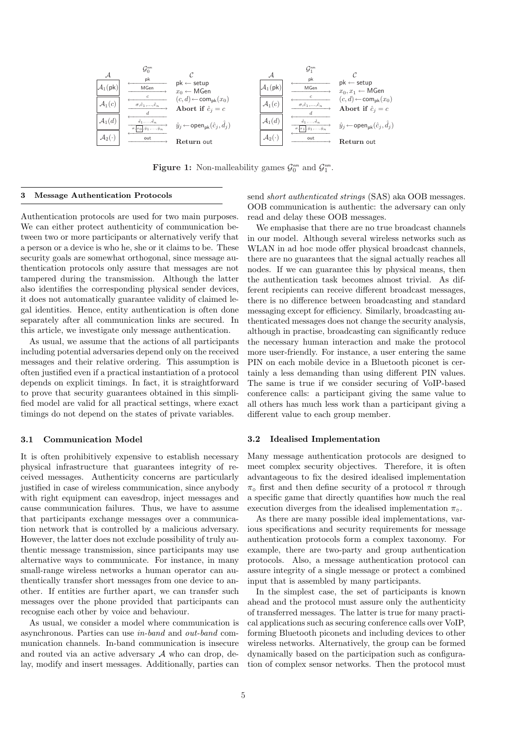

**Figure 1:** Non-malleability games  $\mathcal{G}_0^{\text{nm}}$  and  $\mathcal{G}_1^{\text{nm}}$ .

## 3 Message Authentication Protocols

Authentication protocols are used for two main purposes. We can either protect authenticity of communication between two or more participants or alternatively verify that a person or a device is who he, she or it claims to be. These security goals are somewhat orthogonal, since message authentication protocols only assure that messages are not tampered during the transmission. Although the latter also identifies the corresponding physical sender devices, it does not automatically guarantee validity of claimed legal identities. Hence, entity authentication is often done separately after all communication links are secured. In this article, we investigate only message authentication.

As usual, we assume that the actions of all participants including potential adversaries depend only on the received messages and their relative ordering. This assumption is often justified even if a practical instantiation of a protocol depends on explicit timings. In fact, it is straightforward to prove that security guarantees obtained in this simplified model are valid for all practical settings, where exact timings do not depend on the states of private variables.

# 3.1 Communication Model

It is often prohibitively expensive to establish necessary physical infrastructure that guarantees integrity of received messages. Authenticity concerns are particularly justified in case of wireless communication, since anybody with right equipment can eavesdrop, inject messages and cause communication failures. Thus, we have to assume that participants exchange messages over a communication network that is controlled by a malicious adversary. However, the latter does not exclude possibility of truly authentic message transmission, since participants may use alternative ways to communicate. For instance, in many small-range wireless networks a human operator can authentically transfer short messages from one device to another. If entities are further apart, we can transfer such messages over the phone provided that participants can recognise each other by voice and behaviour.

As usual, we consider a model where communication is asynchronous. Parties can use in-band and out-band communication channels. In-band communication is insecure and routed via an active adversary  $A$  who can drop, delay, modify and insert messages. Additionally, parties can send short authenticated strings (SAS) aka OOB messages. OOB communication is authentic: the adversary can only read and delay these OOB messages.

We emphasise that there are no true broadcast channels in our model. Although several wireless networks such as WLAN in ad hoc mode offer physical broadcast channels, there are no guarantees that the signal actually reaches all nodes. If we can guarantee this by physical means, then the authentication task becomes almost trivial. As different recipients can receive different broadcast messages, there is no difference between broadcasting and standard messaging except for efficiency. Similarly, broadcasting authenticated messages does not change the security analysis, although in practise, broadcasting can significantly reduce the necessary human interaction and make the protocol more user-friendly. For instance, a user entering the same PIN on each mobile device in a Bluetooth piconet is certainly a less demanding than using different PIN values. The same is true if we consider securing of VoIP-based conference calls: a participant giving the same value to all others has much less work than a participant giving a different value to each group member.

# 3.2 Idealised Implementation

Many message authentication protocols are designed to meet complex security objectives. Therefore, it is often advantageous to fix the desired idealised implementation  $\pi_{\circ}$  first and then define security of a protocol  $\pi$  through a specific game that directly quantifies how much the real execution diverges from the idealised implementation  $\pi_{\alpha}$ .

As there are many possible ideal implementations, various specifications and security requirements for message authentication protocols form a complex taxonomy. For example, there are two-party and group authentication protocols. Also, a message authentication protocol can assure integrity of a single message or protect a combined input that is assembled by many participants.

In the simplest case, the set of participants is known ahead and the protocol must assure only the authenticity of transferred messages. The latter is true for many practical applications such as securing conference calls over VoIP, forming Bluetooth piconets and including devices to other wireless networks. Alternatively, the group can be formed dynamically based on the participation such as configuration of complex sensor networks. Then the protocol must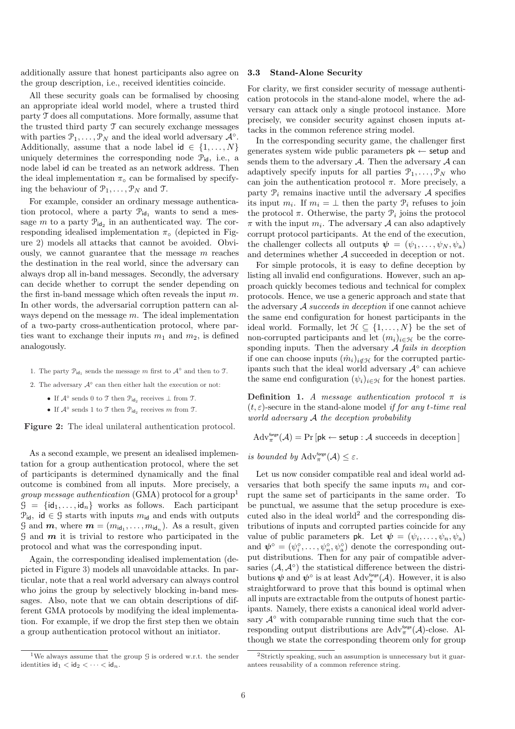additionally assure that honest participants also agree on the group description, i.e., received identities coincide.

All these security goals can be formalised by choosing an appropriate ideal world model, where a trusted third party T does all computations. More formally, assume that the trusted third party  $\mathcal T$  can securely exchange messages with parties  $\mathcal{P}_1, \ldots, \mathcal{P}_N$  and the ideal world adversary  $\mathcal{A}^\circ$ . Additionally, assume that a node label  $id \in \{1, ..., N\}$ uniquely determines the corresponding node  $\mathcal{P}_{id}$ , i.e., a node label id can be treated as an network address. Then the ideal implementation  $\pi_{\circ}$  can be formalised by specifying the behaviour of  $\mathcal{P}_1, \ldots, \mathcal{P}_N$  and  $\mathcal{T}$ .

For example, consider an ordinary message authentication protocol, where a party  $\mathcal{P}_{id_1}$  wants to send a message m to a party  $\mathcal{P}_{\text{id}_2}$  in an authenticated way. The corresponding idealised implementation  $\pi_{\alpha}$  (depicted in Figure 2) models all attacks that cannot be avoided. Obviously, we cannot guarantee that the message  $m$  reaches the destination in the real world, since the adversary can always drop all in-band messages. Secondly, the adversary can decide whether to corrupt the sender depending on the first in-band message which often reveals the input  $m$ . In other words, the adversarial corruption pattern can always depend on the message  $m$ . The ideal implementation of a two-party cross-authentication protocol, where parties want to exchange their inputs  $m_1$  and  $m_2$ , is defined analogously.

- 1. The party  $\mathcal{P}_{\mathsf{id}_1}$  sends the message  $m$  first to  $\mathcal{A}^\circ$  and then to  $\mathfrak{T}.$
- 2. The adversary  $A<sup>°</sup>$  can then either halt the execution or not:
	- If  $\mathcal{A}^{\circ}$  sends 0 to  $\mathcal{T}$  then  $\mathcal{P}_{\mathsf{id}_2}$  receives  $\perp$  from  $\mathcal{T}$ .
	- If  $\mathcal{A}^{\circ}$  sends 1 to  $\mathcal{T}$  then  $\mathcal{P}_{\mathsf{id}_2}$  receives m from  $\mathcal{T}$ .

Figure 2: The ideal unilateral authentication protocol.

As a second example, we present an idealised implementation for a group authentication protocol, where the set of participants is determined dynamically and the final outcome is combined from all inputs. More precisely, a *group message authentication* (GMA) protocol for a group<sup>1</sup>  $G = \{id_1, \ldots, id_n\}$  works as follows. Each participant  $\mathcal{P}_{\mathsf{id}}, \mathsf{id} \in \mathcal{G}$  starts with inputs  $m_{\mathsf{id}}$  and ends with outputs  $\mathcal{G}$  and  $m$ , where  $m = (m_{\mathsf{id}_1}, \ldots, m_{\mathsf{id}_n})$ . As a result, given  $\mathcal{G}$  and  $\boldsymbol{m}$  it is trivial to restore who participated in the protocol and what was the corresponding input.

Again, the corresponding idealised implementation (depicted in Figure 3) models all unavoidable attacks. In particular, note that a real world adversary can always control who joins the group by selectively blocking in-band messages. Also, note that we can obtain descriptions of different GMA protocols by modifying the ideal implementation. For example, if we drop the first step then we obtain a group authentication protocol without an initiator.

## 3.3 Stand-Alone Security

For clarity, we first consider security of message authentication protocols in the stand-alone model, where the adversary can attack only a single protocol instance. More precisely, we consider security against chosen inputs attacks in the common reference string model.

In the corresponding security game, the challenger first generates system wide public parameters  $pk \leftarrow$  setup and sends them to the adversary  $A$ . Then the adversary  $A$  can adaptively specify inputs for all parties  $\mathcal{P}_1, \ldots, \mathcal{P}_N$  who can join the authentication protocol  $\pi$ . More precisely, a party  $P_i$  remains inactive until the adversary  $A$  specifies its input  $m_i$ . If  $m_i = \perp$  then the party  $\mathcal{P}_i$  refuses to join the protocol  $\pi$ . Otherwise, the party  $\mathcal{P}_i$  joins the protocol  $\pi$  with the input  $m_i$ . The adversary  $\mathcal A$  can also adaptively corrupt protocol participants. At the end of the execution, the challenger collects all outputs  $\psi = (\psi_1, \dots, \psi_N, \psi_a)$ and determines whether A succeeded in deception or not.

For simple protocols, it is easy to define deception by listing all invalid end configurations. However, such an approach quickly becomes tedious and technical for complex protocols. Hence, we use a generic approach and state that the adversary  $A$  succeeds in deception if one cannot achieve the same end configuration for honest participants in the ideal world. Formally, let  $\mathcal{H} \subseteq \{1, \ldots, N\}$  be the set of non-corrupted participants and let  $(m_i)_{i \in \mathcal{H}}$  be the corresponding inputs. Then the adversary  $A$  fails in deception if one can choose inputs  $(\hat{m}_i)_{i \notin \mathcal{H}}$  for the corrupted participants such that the ideal world adversary  $\mathcal{A}^{\circ}$  can achieve the same end configuration  $(\psi_i)_{i \in \mathcal{H}}$  for the honest parties.

Definition 1. A message authentication protocol  $\pi$  is  $(t, \varepsilon)$ -secure in the stand-alone model if for any t-time real world adversary A the deception probability

 $\mathrm{Adv}_{\pi}^{\mathsf{forget}}(\mathcal{A}) = \Pr\left[\mathsf{pk} \leftarrow \mathsf{setup} : \mathcal{A} \text{ succeeds in deception}\right]$ 

is bounded by  $\mathrm{Adv}_{\pi}^{\text{forge}}(\mathcal{A}) \leq \varepsilon$ .

Let us now consider compatible real and ideal world adversaries that both specify the same inputs  $m_i$  and corrupt the same set of participants in the same order. To be punctual, we assume that the setup procedure is executed also in the ideal world<sup>2</sup> and the corresponding distributions of inputs and corrupted parties coincide for any value of public parameters pk. Let  $\psi = (\psi_i, \dots, \psi_n, \psi_a)$ and  $\psi^{\circ} = (\psi_1^{\circ}, \dots, \psi_n^{\circ}, \psi_a^{\circ})$  denote the corresponding output distributions. Then for any pair of compatible adversaries  $(\mathcal{A}, \mathcal{A}^{\circ})$  the statistical difference between the distributions  $\psi$  and  $\psi^{\circ}$  is at least  $\mathrm{Adv}_{\pi}^{\mathrm{foge}}(\mathcal{A})$ . However, it is also straightforward to prove that this bound is optimal when all inputs are extractable from the outputs of honest participants. Namely, there exists a canonical ideal world adversary  $A<sup>°</sup>$  with comparable running time such that the corresponding output distributions are  $\text{Adv}_{\pi}^{\text{forge}}(\mathcal{A})$ -close. Although we state the corresponding theorem only for group

<sup>&</sup>lt;sup>1</sup>We always assume that the group  $\mathcal G$  is ordered w.r.t. the sender identities  $\mathsf{id}_1 < \mathsf{id}_2 < \cdots < \mathsf{id}_n$ .

<sup>2</sup>Strictly speaking, such an assumption is unnecessary but it guarantees reusability of a common reference string.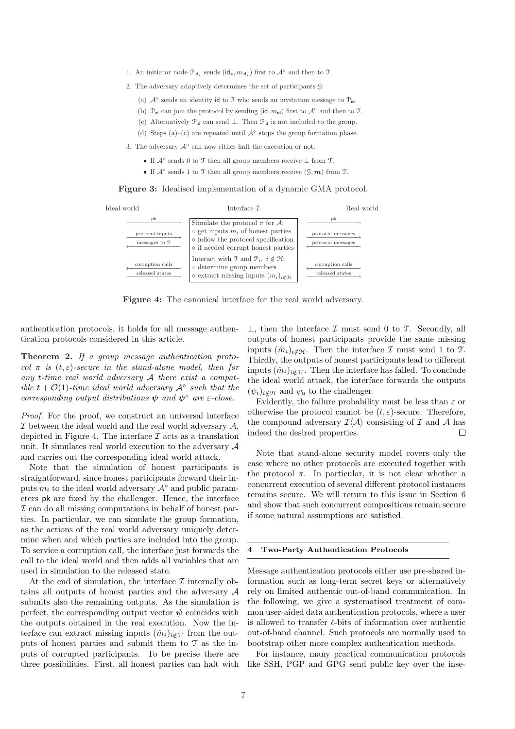- 1. An initiator node  $\mathcal{P}_{\mathsf{id}_*}$  sends  $(\mathsf{id}_*, m_{\mathsf{id}_*})$  first to  $\mathcal{A}^\circ$  and then to  $\mathcal{T}$ .
- 2. The adversary adaptively determines the set of participants G:
	- (a)  $\mathcal{A}^\circ$  sends an identity id to  $\mathcal{T}$  who sends an invitation message to  $\mathcal{P}_{\mathsf{id}}$ .
	- (b)  $\mathcal{P}_{\text{id}}$  can join the protocol by sending (id,  $m_{\text{id}}$ ) first to  $\mathcal{A}^{\circ}$  and then to T.
	- (c) Alternatively  $\mathcal{P}_{\text{id}}$  can send  $\perp$ . Then  $\mathcal{P}_{\text{id}}$  is not included to the group.
	- (d) Steps (a)–(c) are repeated until  $\mathcal{A}^{\circ}$  stops the group formation phase.
- 3. The adversary  $A<sup>°</sup>$  can now either halt the execution or not:
	- If  $\mathcal{A}^\circ$  sends 0 to  $\mathcal T$  then all group members receive  $\bot$  from  $\mathcal T$ .
	- If  $\mathcal{A}^{\circ}$  sends 1 to  $\mathcal{T}$  then all group members receive  $(\mathcal{G}, \mathbf{m})$  from  $\mathcal{T}$ .

Figure 3: Idealised implementation of a dynamic GMA protocol.



Figure 4: The canonical interface for the real world adversary.

authentication protocols, it holds for all message authentication protocols considered in this article.

Theorem 2. If a group message authentication protocol  $\pi$  is  $(t, \varepsilon)$ -secure in the stand-alone model, then for any t-time real world adversary  $A$  there exist a compatible  $t + \mathcal{O}(1)$ -time ideal world adversary  $\mathcal{A}^{\circ}$  such that the corresponding output distributions  $\psi$  and  $\psi^{\circ}$  are  $\varepsilon$ -close.

Proof. For the proof, we construct an universal interface  $I$  between the ideal world and the real world adversary  $A$ , depicted in Figure 4. The interface  $\mathcal I$  acts as a translation unit. It simulates real world execution to the adversary A and carries out the corresponding ideal world attack.

Note that the simulation of honest participants is straightforward, since honest participants forward their inputs  $m_i$  to the ideal world adversary  $\mathcal{A}^\circ$  and public parameters pk are fixed by the challenger. Hence, the interface  $\mathcal I$  can do all missing computations in behalf of honest parties. In particular, we can simulate the group formation, as the actions of the real world adversary uniquely determine when and which parties are included into the group. To service a corruption call, the interface just forwards the call to the ideal world and then adds all variables that are used in simulation to the released state.

At the end of simulation, the interface  $\mathcal I$  internally obtains all outputs of honest parties and the adversary A submits also the remaining outputs. As the simulation is perfect, the corresponding output vector  $\psi$  coincides with the outputs obtained in the real execution. Now the interface can extract missing inputs  $(\hat{m}_i)_{i \notin \mathcal{H}}$  from the outputs of honest parties and submit them to T as the inputs of corrupted participants. To be precise there are three possibilities. First, all honest parties can halt with  $\perp$ , then the interface  $\mathcal I$  must send 0 to  $\mathcal T$ . Secondly, all outputs of honest participants provide the same missing inputs  $(\hat{m}_i)_{i \notin \mathcal{H}}$ . Then the interface  $\mathcal I$  must send 1 to  $\mathcal T$ . Thirdly, the outputs of honest participants lead to different inputs  $(\hat{m}_i)_{i \notin \mathcal{H}}$ . Then the interface has failed. To conclude the ideal world attack, the interface forwards the outputs  $(\psi_i)_{i \notin \mathcal{H}}$  and  $\psi_a$  to the challenger.

Evidently, the failure probability must be less than  $\varepsilon$  or otherwise the protocol cannot be  $(t, \varepsilon)$ -secure. Therefore, the compound adversary  $\mathcal{I}\langle A \rangle$  consisting of  $\mathcal I$  and  $A$  has indeed the desired properties.  $\Box$ 

Note that stand-alone security model covers only the case where no other protocols are executed together with the protocol  $\pi$ . In particular, it is not clear whether a concurrent execution of several different protocol instances remains secure. We will return to this issue in Section 6 and show that such concurrent compositions remain secure if some natural assumptions are satisfied.

## 4 Two-Party Authentication Protocols

Message authentication protocols either use pre-shared information such as long-term secret keys or alternatively rely on limited authentic out-of-band communication. In the following, we give a systematised treatment of common user-aided data authentication protocols, where a user is allowed to transfer  $\ell$ -bits of information over authentic out-of-band channel. Such protocols are normally used to bootstrap other more complex authentication methods.

For instance, many practical communication protocols like SSH, PGP and GPG send public key over the inse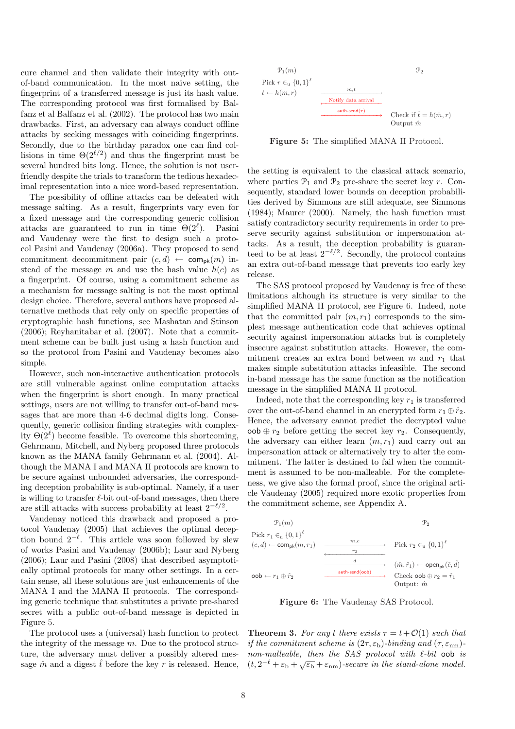cure channel and then validate their integrity with outof-band communication. In the most naive setting, the fingerprint of a transferred message is just its hash value. The corresponding protocol was first formalised by Balfanz et al Balfanz et al. (2002). The protocol has two main drawbacks. First, an adversary can always conduct offline attacks by seeking messages with coinciding fingerprints. Secondly, due to the birthday paradox one can find collisions in time  $\Theta(2^{\ell/2})$  and thus the fingerprint must be several hundred bits long. Hence, the solution is not userfriendly despite the trials to transform the tedious hexadecimal representation into a nice word-based representation.

The possibility of offline attacks can be defeated with message salting. As a result, fingerprints vary even for a fixed message and the corresponding generic collision attacks are guaranteed to run in time  $\Theta(2^{\ell})$ . Pasini and Vaudenay were the first to design such a protocol Pasini and Vaudenay (2006a). They proposed to send commitment decommitment pair  $(c, d) \leftarrow \text{com}_{\text{pk}}(m)$  instead of the message m and use the hash value  $h(c)$  as a fingerprint. Of course, using a commitment scheme as a mechanism for message salting is not the most optimal design choice. Therefore, several authors have proposed alternative methods that rely only on specific properties of cryptographic hash functions, see Mashatan and Stinson (2006); Reyhanitabar et al. (2007). Note that a commitment scheme can be built just using a hash function and so the protocol from Pasini and Vaudenay becomes also simple.

However, such non-interactive authentication protocols are still vulnerable against online computation attacks when the fingerprint is short enough. In many practical settings, users are not willing to transfer out-of-band messages that are more than 4-6 decimal digits long. Consequently, generic collision finding strategies with complexity  $\Theta(2^{\ell})$  become feasible. To overcome this shortcoming, Gehrmann, Mitchell, and Nyberg proposed three protocols known as the MANA family Gehrmann et al. (2004). Although the MANA I and MANA II protocols are known to be secure against unbounded adversaries, the corresponding deception probability is sub-optimal. Namely, if a user is willing to transfer  $\ell$ -bit out-of-band messages, then there are still attacks with success probability at least  $2^{-\ell/2}$ .

Vaudenay noticed this drawback and proposed a protocol Vaudenay (2005) that achieves the optimal deception bound  $2^{-\ell}$ . This article was soon followed by slew of works Pasini and Vaudenay (2006b); Laur and Nyberg (2006); Laur and Pasini (2008) that described asymptotically optimal protocols for many other settings. In a certain sense, all these solutions are just enhancements of the MANA I and the MANA II protocols. The corresponding generic technique that substitutes a private pre-shared secret with a public out-of-band message is depicted in Figure 5.

The protocol uses a (universal) hash function to protect the integrity of the message  $m$ . Due to the protocol structure, the adversary must deliver a possibly altered message  $\hat{m}$  and a digest  $\hat{t}$  before the key r is released. Hence,



Figure 5: The simplified MANA II Protocol.

the setting is equivalent to the classical attack scenario, where parties  $\mathcal{P}_1$  and  $\mathcal{P}_2$  pre-share the secret key r. Consequently, standard lower bounds on deception probabilities derived by Simmons are still adequate, see Simmons (1984); Maurer (2000). Namely, the hash function must satisfy contradictory security requirements in order to preserve security against substitution or impersonation attacks. As a result, the deception probability is guaranteed to be at least  $2^{-\ell/2}$ . Secondly, the protocol contains an extra out-of-band message that prevents too early key release.

The SAS protocol proposed by Vaudenay is free of these limitations although its structure is very similar to the simplified MANA II protocol, see Figure 6. Indeed, note that the committed pair  $(m, r_1)$  corresponds to the simplest message authentication code that achieves optimal security against impersonation attacks but is completely insecure against substitution attacks. However, the commitment creates an extra bond between m and  $r_1$  that makes simple substitution attacks infeasible. The second in-band message has the same function as the notification message in the simplified MANA II protocol.

Indeed, note that the corresponding key  $r_1$  is transferred over the out-of-band channel in an encrypted form  $r_1 \oplus \hat{r}_2$ . Hence, the adversary cannot predict the decrypted value oob ⊕  $r_2$  before getting the secret key  $r_2$ . Consequently, the adversary can either learn  $(m, r_1)$  and carry out an impersonation attack or alternatively try to alter the commitment. The latter is destined to fail when the commitment is assumed to be non-malleable. For the completeness, we give also the formal proof, since the original article Vaudenay (2005) required more exotic properties from the commitment scheme, see Appendix A.



Figure 6: The Vaudenay SAS Protocol.

**Theorem 3.** For any t there exists  $\tau = t + \mathcal{O}(1)$  such that if the commitment scheme is  $(2\tau, \varepsilon_b)$ -binding and  $(\tau, \varepsilon_{nm})$ non-malleable, then the SAS protocol with  $\ell$ -bit oob is  $(t, 2^{-\ell} + \varepsilon_{\rm b} + \sqrt{\varepsilon_{\rm b}} + \varepsilon_{\rm nm})$ -secure in the stand-alone model.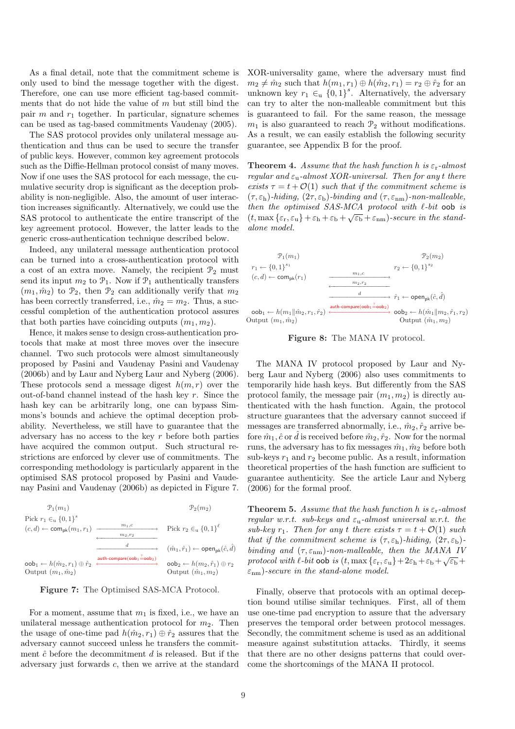As a final detail, note that the commitment scheme is only used to bind the message together with the digest. Therefore, one can use more efficient tag-based commitments that do not hide the value of  $m$  but still bind the pair  $m$  and  $r_1$  together. In particular, signature schemes can be used as tag-based commitments Vaudenay (2005).

The SAS protocol provides only unilateral message authentication and thus can be used to secure the transfer of public keys. However, common key agreement protocols such as the Diffie-Hellman protocol consist of many moves. Now if one uses the SAS protocol for each message, the cumulative security drop is significant as the deception probability is non-negligible. Also, the amount of user interaction increases significantly. Alternatively, we could use the SAS protocol to authenticate the entire transcript of the key agreement protocol. However, the latter leads to the generic cross-authentication technique described below.

Indeed, any unilateral message authentication protocol can be turned into a cross-authentication protocol with a cost of an extra move. Namely, the recipient  $\mathcal{P}_2$  must send its input  $m_2$  to  $\mathcal{P}_1$ . Now if  $\mathcal{P}_1$  authentically transfers  $(m_1, \hat{m}_2)$  to  $\mathcal{P}_2$ , then  $\mathcal{P}_2$  can additionally verify that  $m_2$ has been correctly transferred, i.e.,  $\hat{m}_2 = m_2$ . Thus, a successful completion of the authentication protocol assures that both parties have coinciding outputs  $(m_1, m_2)$ .

Hence, it makes sense to design cross-authentication protocols that make at most three moves over the insecure channel. Two such protocols were almost simultaneously proposed by Pasini and Vaudenay Pasini and Vaudenay (2006b) and by Laur and Nyberg Laur and Nyberg (2006). These protocols send a message digest  $h(m, r)$  over the out-of-band channel instead of the hash key  $r$ . Since the hash key can be arbitrarily long, one can bypass Simmons's bounds and achieve the optimal deception probability. Nevertheless, we still have to guarantee that the adversary has no access to the key  $r$  before both parties have acquired the common output. Such structural restrictions are enforced by clever use of commitments. The corresponding methodology is particularly apparent in the optimised SAS protocol proposed by Pasini and Vaudenay Pasini and Vaudenay (2006b) as depicted in Figure 7.

 $\mathcal{P}_1(m_1)$   $\mathcal{P}_2(m_2)$ Pick  $r_1 \in_u \{0,1\}^s$  $(c, d) \leftarrow \text{com}_{\text{pk}}(m_1, r_1)$  $\longrightarrow$  Pick  $r_2 \in {\mathbb{Q}} \{0,1\}^{\ell}$  $\frac{m_2,r_2}{d}$  $(\hat{m}_1, \hat{r}_1) \leftarrow \mathsf{open}_{\mathsf{pk}}(\hat{c}, \hat{d})$  $\textsf{oob}_1 \leftarrow h(\hat{m}_2, r_1) \oplus \hat{r}_2$  $\mathsf{auth\text{-}compare}(\mathsf{oob}_1)$  $\mathsf{oob}_2 \leftarrow h(m_2, \hat{r}_1) \oplus r_2$ Output  $(m_1, \hat{m}_2)$  Output  $(\hat{m}_1, m_2)$ 

Figure 7: The Optimised SAS-MCA Protocol.

For a moment, assume that  $m_1$  is fixed, i.e., we have an unilateral message authentication protocol for  $m_2$ . Then the usage of one-time pad  $h(\hat{m}_2, r_1) \oplus \hat{r}_2$  assures that the adversary cannot succeed unless he transfers the commitment  $\hat{c}$  before the decommitment  $d$  is released. But if the adversary just forwards c, then we arrive at the standard XOR-universality game, where the adversary must find  $m_2 \neq \hat{m}_2$  such that  $h(m_1, r_1) \oplus h(\hat{m}_2, r_1) = r_2 \oplus \hat{r}_2$  for an unknown key  $r_1 \in_{\mathrm{u}} \{0,1\}^s$ . Alternatively, the adversary can try to alter the non-malleable commitment but this is guaranteed to fail. For the same reason, the message  $m_1$  is also guaranteed to reach  $\mathcal{P}_2$  without modifications. As a result, we can easily establish the following security guarantee, see Appendix B for the proof.

**Theorem 4.** Assume that the hash function h is  $\varepsilon_r$ -almost regular and  $\varepsilon_{\rm u}$ -almost XOR-universal. Then for any t there exists  $\tau = t + \mathcal{O}(1)$  such that if the commitment scheme is  $(\tau, \varepsilon_h)$ -hiding,  $(2\tau, \varepsilon_h)$ -binding and  $(\tau, \varepsilon_{hm})$ -non-malleable, then the optimised SAS-MCA protocol with  $\ell$ -bit oob is then the optimised SAS-MCA protocol with  $t$ -one can be  $(t, \max{\{\varepsilon_{\rm r}, \varepsilon_{\rm u}\}} + \varepsilon_{\rm h} + \varepsilon_{\rm b} + \sqrt{\varepsilon_{\rm b}} + \varepsilon_{\rm nm})$ -secure in the standalone model.



Figure 8: The MANA IV protocol.

The MANA IV protocol proposed by Laur and Nyberg Laur and Nyberg (2006) also uses commitments to temporarily hide hash keys. But differently from the SAS protocol family, the message pair  $(m_1, m_2)$  is directly authenticated with the hash function. Again, the protocol structure guarantees that the adversary cannot succeed if messages are transferred abnormally, i.e.,  $\hat{m}_2, \hat{r}_2$  arrive before  $\hat{m}_1$ ,  $\hat{c}$  or d is received before  $\hat{m}_2$ ,  $\hat{r}_2$ . Now for the normal runs, the adversary has to fix messages  $\hat{m}_1, \hat{m}_2$  before both sub-keys  $r_1$  and  $r_2$  become public. As a result, information theoretical properties of the hash function are sufficient to guarantee authenticity. See the article Laur and Nyberg (2006) for the formal proof.

**Theorem 5.** Assume that the hash function h is  $\varepsilon_r$ -almost regular w.r.t. sub-keys and  $\varepsilon_{\rm u}$ -almost universal w.r.t. the sub-key  $r_1$ . Then for any t there exists  $\tau = t + \mathcal{O}(1)$  such that if the commitment scheme is  $(\tau, \varepsilon_h)$ -hiding,  $(2\tau, \varepsilon_b)$ binding and  $(\tau, \varepsilon_{nm})$ -non-malleable, then the MANA IV protocol with  $\ell$ -bit oob is  $(t, \max\{\varepsilon_{\rm r}, \varepsilon_{\rm u}\} + 2\varepsilon_{\rm h} + \varepsilon_{\rm b}+\sqrt{\varepsilon_{\rm b}} + \varepsilon_{\rm b}$  $\varepsilon_{nm}$ )-secure in the stand-alone model.

Finally, observe that protocols with an optimal deception bound utilise similar techniques. First, all of them use one-time pad encryption to assure that the adversary preserves the temporal order between protocol messages. Secondly, the commitment scheme is used as an additional measure against substitution attacks. Thirdly, it seems that there are no other designs patterns that could overcome the shortcomings of the MANA II protocol.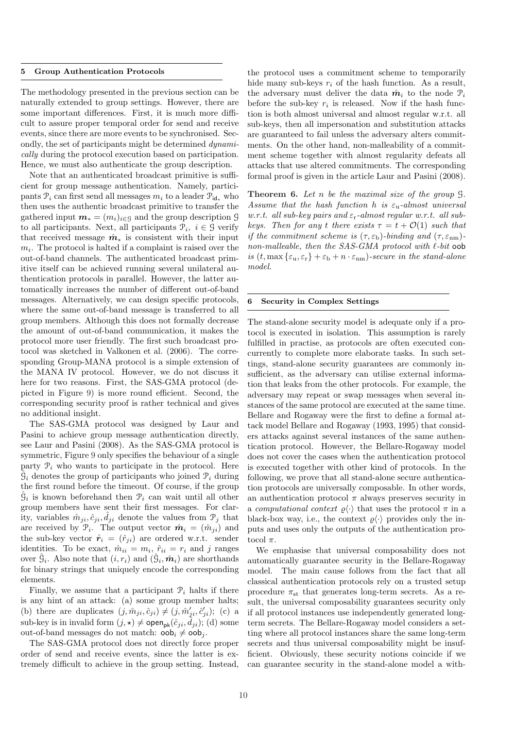#### 5 Group Authentication Protocols

The methodology presented in the previous section can be naturally extended to group settings. However, there are some important differences. First, it is much more difficult to assure proper temporal order for send and receive events, since there are more events to be synchronised. Secondly, the set of participants might be determined dynamically during the protocol execution based on participation. Hence, we must also authenticate the group description.

Note that an authenticated broadcast primitive is sufficient for group message authentication. Namely, participants  $\mathcal{P}_i$  can first send all messages  $m_i$  to a leader  $\mathcal{P}_{id_*}$  who then uses the authentic broadcast primitive to transfer the gathered input  $m_* = (m_i)_{i \in \mathcal{G}}$  and the group description  $\mathcal{G}$ to all participants. Next, all participants  $\mathcal{P}_i$ ,  $i \in \mathcal{G}$  verify that received message  $\hat{m}_{*}$  is consistent with their input  $m_i$ . The protocol is halted if a complaint is raised over the out-of-band channels. The authenticated broadcast primitive itself can be achieved running several unilateral authentication protocols in parallel. However, the latter automatically increases the number of different out-of-band messages. Alternatively, we can design specific protocols, where the same out-of-band message is transferred to all group members. Although this does not formally decrease the amount of out-of-band communication, it makes the protocol more user friendly. The first such broadcast protocol was sketched in Valkonen et al. (2006). The corresponding Group-MANA protocol is a simple extension of the MANA IV protocol. However, we do not discuss it here for two reasons. First, the SAS-GMA protocol (depicted in Figure 9) is more round efficient. Second, the corresponding security proof is rather technical and gives no additional insight.

The SAS-GMA protocol was designed by Laur and Pasini to achieve group message authentication directly, see Laur and Pasini (2008). As the SAS-GMA protocol is symmetric, Figure 9 only specifies the behaviour of a single party  $\mathcal{P}_i$  who wants to participate in the protocol. Here  $\hat{G}_i$  denotes the group of participants who joined  $\mathcal{P}_i$  during the first round before the timeout. Of course, if the group  $\hat{G}_i$  is known beforehand then  $\mathcal{P}_i$  can wait until all other group members have sent their first messages. For clarity, variables  $\hat{m}_{ji}, \hat{c}_{ji}, \hat{d}_{ji}$  denote the values from  $\mathcal{P}_j$  that are received by  $\mathcal{P}_i$ . The output vector  $\hat{\mathbf{m}}_i = (\hat{m}_{ji})$  and the sub-key vector  $\hat{r}_i = (\hat{r}_{ji})$  are ordered w.r.t. sender identities. To be exact,  $\hat{m}_{ii} = m_i$ ,  $\hat{r}_{ii} = r_i$  and j ranges over  $\hat{S}_i$ . Also note that  $(i, r_i)$  and  $(\hat{S}_i, \hat{m}_i)$  are shorthands for binary strings that uniquely encode the corresponding elements.

Finally, we assume that a participant  $P_i$  halts if there is any hint of an attack: (a) some group member halts; (b) there are duplicates  $(j, \hat{m}_{ji}, \hat{c}_{ji}) \neq (j, \hat{m}'_{ji}, \hat{c}'_{ji})$ ; (c) a sub-key is in invalid form  $(j, \star) \neq \mathsf{open}_{\mathsf{pk}}(\hat{c}_{ji}, \hat{d}_{ji});$  (d) some out-of-band messages do not match:  $\cosh i \neq \cosh i$ .

The SAS-GMA protocol does not directly force proper order of send and receive events, since the latter is extremely difficult to achieve in the group setting. Instead, the protocol uses a commitment scheme to temporarily hide many sub-keys  $r_i$  of the hash function. As a result, the adversary must deliver the data  $\hat{\mathbf{m}}_i$  to the node  $\mathcal{P}_i$ before the sub-key  $r_i$  is released. Now if the hash function is both almost universal and almost regular w.r.t. all sub-keys, then all impersonation and substitution attacks are guaranteed to fail unless the adversary alters commitments. On the other hand, non-malleability of a commitment scheme together with almost regularity defeats all attacks that use altered commitments. The corresponding formal proof is given in the article Laur and Pasini (2008).

**Theorem 6.** Let n be the maximal size of the group  $\mathcal{G}$ . Assume that the hash function h is  $\varepsilon_{\rm u}$ -almost universal w.r.t. all sub-key pairs and  $\varepsilon_r$ -almost regular w.r.t. all subkeys. Then for any t there exists  $\tau = t + \mathcal{O}(1)$  such that if the commitment scheme is  $(\tau, \varepsilon_b)$ -binding and  $(\tau, \varepsilon_{nm})$ non-malleable, then the SAS-GMA protocol with  $\ell$ -bit oob is  $(t, \max{\varepsilon_{u}, \varepsilon_{r}} + \varepsilon_{b} + n \cdot \varepsilon_{nm})$ -secure in the stand-alone model.

# 6 Security in Complex Settings

The stand-alone security model is adequate only if a protocol is executed in isolation. This assumption is rarely fulfilled in practise, as protocols are often executed concurrently to complete more elaborate tasks. In such settings, stand-alone security guarantees are commonly insufficient, as the adversary can utilise external information that leaks from the other protocols. For example, the adversary may repeat or swap messages when several instances of the same protocol are executed at the same time. Bellare and Rogaway were the first to define a formal attack model Bellare and Rogaway (1993, 1995) that considers attacks against several instances of the same authentication protocol. However, the Bellare-Rogaway model does not cover the cases when the authentication protocol is executed together with other kind of protocols. In the following, we prove that all stand-alone secure authentication protocols are universally composable. In other words, an authentication protocol  $\pi$  always preserves security in a computational context  $\rho\langle \cdot \rangle$  that uses the protocol  $\pi$  in a black-box way, i.e., the context  $\rho(\cdot)$  provides only the inputs and uses only the outputs of the authentication protocol  $\pi$ .

We emphasise that universal composability does not automatically guarantee security in the Bellare-Rogaway model. The main cause follows from the fact that all classical authentication protocols rely on a trusted setup procedure  $\pi_{st}$  that generates long-term secrets. As a result, the universal composability guarantees security only if all protocol instances use independently generated longterm secrets. The Bellare-Rogaway model considers a setting where all protocol instances share the same long-term secrets and thus universal composability might be insufficient. Obviously, these security notions coincide if we can guarantee security in the stand-alone model a with-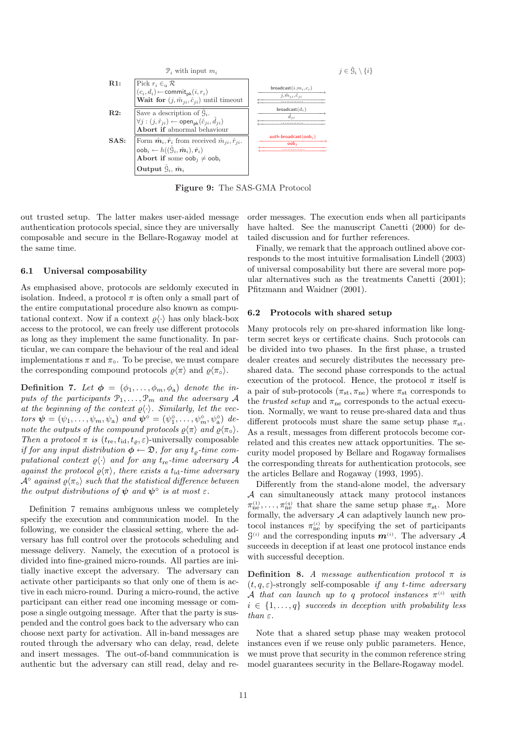

Figure 9: The SAS-GMA Protocol

out trusted setup. The latter makes user-aided message authentication protocols special, since they are universally composable and secure in the Bellare-Rogaway model at the same time.

# 6.1 Universal composability

As emphasised above, protocols are seldomly executed in isolation. Indeed, a protocol  $\pi$  is often only a small part of the entire computational procedure also known as computational context. Now if a context  $\rho\langle \cdot \rangle$  has only black-box access to the protocol, we can freely use different protocols as long as they implement the same functionality. In particular, we can compare the behaviour of the real and ideal implementations  $\pi$  and  $\pi_{\circ}$ . To be precise, we must compare the corresponding compound protocols  $\rho \langle \pi \rangle$  and  $\rho \langle \pi_{\circ} \rangle$ .

**Definition 7.** Let  $\phi = (\phi_1, \ldots, \phi_m, \phi_a)$  denote the inputs of the participants  $\mathcal{P}_1, \ldots, \mathcal{P}_m$  and the adversary A at the beginning of the context  $\varrho\langle\cdot\rangle$ . Similarly, let the vectors  $\psi = (\psi_1, \dots, \psi_m, \psi_a)$  and  $\psi^\circ = (\psi_1^\circ, \dots, \psi_m^\circ, \psi_a^\circ)$  denote the outputs of the compound protocols  $\varrho \langle \pi \rangle$  and  $\varrho \langle \pi_{\circ} \rangle$ . Then a protocol  $\pi$  is  $(t_{\text{re}}, t_{\text{id}}, t_{\rho}, \varepsilon)$ -universally composable if for any input distribution  $\phi \leftarrow \mathfrak{D}$ , for any  $t_o$ -time computational context  $\rho \langle \cdot \rangle$  and for any  $t_{\text{re}}$ -time adversary A against the protocol  $\rho(\pi)$ , there exists a t<sub>id</sub>-time adversary  $A<sup>°</sup>$  against  $\rho\langle\pi_{\circ}\rangle$  such that the statistical difference between the output distributions of  $\psi$  and  $\psi^{\circ}$  is at most  $\varepsilon$ .

Definition 7 remains ambiguous unless we completely specify the execution and communication model. In the following, we consider the classical setting, where the adversary has full control over the protocols scheduling and message delivery. Namely, the execution of a protocol is divided into fine-grained micro-rounds. All parties are initially inactive except the adversary. The adversary can activate other participants so that only one of them is active in each micro-round. During a micro-round, the active participant can either read one incoming message or compose a single outgoing message. After that the party is suspended and the control goes back to the adversary who can choose next party for activation. All in-band messages are routed through the adversary who can delay, read, delete and insert messages. The out-of-band communication is authentic but the adversary can still read, delay and reorder messages. The execution ends when all participants have halted. See the manuscript Canetti (2000) for detailed discussion and for further references.

Finally, we remark that the approach outlined above corresponds to the most intuitive formalisation Lindell (2003) of universal composability but there are several more popular alternatives such as the treatments Canetti (2001); Pfitzmann and Waidner (2001).

#### 6.2 Protocols with shared setup

Many protocols rely on pre-shared information like longterm secret keys or certificate chains. Such protocols can be divided into two phases. In the first phase, a trusted dealer creates and securely distributes the necessary preshared data. The second phase corresponds to the actual execution of the protocol. Hence, the protocol  $\pi$  itself is a pair of sub-protocols  $(\pi_{st}, \pi_{ne})$  where  $\pi_{st}$  corresponds to the trusted setup and  $\pi_{\text{ne}}$  corresponds to the actual execution. Normally, we want to reuse pre-shared data and thus different protocols must share the same setup phase  $\pi_{st}$ . As a result, messages from different protocols become correlated and this creates new attack opportunities. The security model proposed by Bellare and Rogaway formalises the corresponding threats for authentication protocols, see the articles Bellare and Rogaway (1993, 1995).

Differently from the stand-alone model, the adversary A can simultaneously attack many protocol instances  $\pi_{ne}^{(1)}, \ldots, \pi_{ne}^{(q)}$  that share the same setup phase  $\pi_{st}$ . More formally, the adversary  $A$  can adaptively launch new protocol instances  $\pi_{ne}^{(i)}$  by specifying the set of participants  $\mathcal{G}^{(i)}$  and the corresponding inputs  $\boldsymbol{m}^{(i)}$ . The adversary A succeeds in deception if at least one protocol instance ends with successful deception.

Definition 8. A message authentication protocol  $\pi$  is  $(t, q, \varepsilon)$ -strongly self-composable if any t-time adversary A that can launch up to q protocol instances  $\pi^{(i)}$  with  $i \in \{1, \ldots, q\}$  succeeds in deception with probability less than  $\varepsilon$ .

Note that a shared setup phase may weaken protocol instances even if we reuse only public parameters. Hence, we must prove that security in the common reference string model guarantees security in the Bellare-Rogaway model.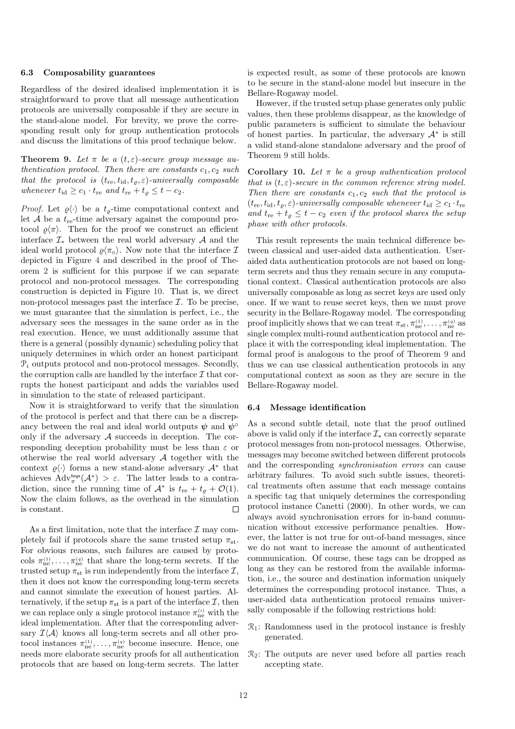# 6.3 Composability guarantees

Regardless of the desired idealised implementation it is straightforward to prove that all message authentication protocols are universally composable if they are secure in the stand-alone model. For brevity, we prove the corresponding result only for group authentication protocols and discuss the limitations of this proof technique below.

**Theorem 9.** Let  $\pi$  be a  $(t, \varepsilon)$ -secure group message authentication protocol. Then there are constants  $c_1, c_2$  such that the protocol is  $(t_{\text{re}}, t_{\text{id}}, t_{\varrho}, \varepsilon)$ -universally composable whenever  $t_{\text{id}} \geq c_1 \cdot t_{\text{re}}$  and  $t_{\text{re}} + t_{\varrho} \leq t - c_2$ .

*Proof.* Let  $\varrho\langle \cdot \rangle$  be a  $t_{\varrho}$ -time computational context and let  $A$  be a  $t_{\text{re}}$ -time adversary against the compound protocol  $\rho\langle\pi\rangle$ . Then for the proof we construct an efficient interface  $\mathcal{I}_*$  between the real world adversary  $\mathcal A$  and the ideal world protocol  $\rho \langle \pi_{\circ} \rangle$ . Now note that the interface  $\mathcal I$ depicted in Figure 4 and described in the proof of Theorem 2 is sufficient for this purpose if we can separate protocol and non-protocol messages. The corresponding construction is depicted in Figure 10. That is, we direct non-protocol messages past the interface  $\mathcal I$ . To be precise, we must guarantee that the simulation is perfect, i.e., the adversary sees the messages in the same order as in the real execution. Hence, we must additionally assume that there is a general (possibly dynamic) scheduling policy that uniquely determines in which order an honest participant  $P_i$  outputs protocol and non-protocol messages. Secondly, the corruption calls are handled by the interface  $\mathcal I$  that corrupts the honest participant and adds the variables used in simulation to the state of released participant.

Now it is straightforward to verify that the simulation of the protocol is perfect and that there can be a discrepancy between the real and ideal world outputs  $\psi$  and  $\psi$ <sup>°</sup> only if the adversary  $A$  succeeds in deception. The corresponding deception probability must be less than  $\varepsilon$  or otherwise the real world adversary  $A$  together with the context  $\varrho\langle\cdot\rangle$  forms a new stand-alone adversary  $\mathcal{A}^*$  that achieves  $\text{Adv}_{\pi}^{\text{forge}}(\mathcal{A}^*) > \varepsilon$ . The latter leads to a contradiction, since the running time of  $\mathcal{A}^*$  is  $t_{\text{re}} + t_{\varrho} + \mathcal{O}(1)$ . Now the claim follows, as the overhead in the simulation is constant.  $\Box$ 

As a first limitation, note that the interface  $\mathcal I$  may completely fail if protocols share the same trusted setup  $\pi_{st}$ . For obvious reasons, such failures are caused by protocols  $\pi_{ne}^{(1)}, \ldots, \pi_{ne}^{(q)}$  that share the long-term secrets. If the trusted setup  $\pi_{st}$  is run independently from the interface  $\mathcal{I}$ , then it does not know the corresponding long-term secrets and cannot simulate the execution of honest parties. Alternatively, if the setup  $\pi_{st}$  is a part of the interface  $\mathcal{I}$ , then we can replace only a single protocol instance  $\pi_{ne}^{(i)}$  with the ideal implementation. After that the corresponding adversary  $\mathcal{I}\langle A \rangle$  knows all long-term secrets and all other protocol instances  $\pi_{ne}^{(1)}, \ldots, \pi_{ne}^{(q)}$  become insecure. Hence, one needs more elaborate security proofs for all authentication protocols that are based on long-term secrets. The latter

is expected result, as some of these protocols are known to be secure in the stand-alone model but insecure in the Bellare-Rogaway model.

However, if the trusted setup phase generates only public values, then these problems disappear, as the knowledge of public parameters is sufficient to simulate the behaviour of honest parties. In particular, the adversary  $\mathcal{A}^*$  is still a valid stand-alone standalone adversary and the proof of Theorem 9 still holds.

Corollary 10. Let  $\pi$  be a group authentication protocol that is  $(t, \varepsilon)$ -secure in the common reference string model. Then there are constants  $c_1, c_2$  such that the protocol is  $(t_{\text{re}}, t_{\text{id}}, t_o, \varepsilon)$ -universally composable whenever  $t_{\text{id}} \geq c_1 \cdot t_{\text{re}}$ and  $t_{\text{re}} + t_{\varrho} \leq t - c_2$  even if the protocol shares the setup phase with other protocols.

This result represents the main technical difference between classical and user-aided data authentication. Useraided data authentication protocols are not based on longterm secrets and thus they remain secure in any computational context. Classical authentication protocols are also universally composable as long as secret keys are used only once. If we want to reuse secret keys, then we must prove security in the Bellare-Rogaway model. The corresponding proof implicitly shows that we can treat  $\pi_{st}, \pi_{ne}^{(1)}, \ldots, \pi_{ne}^{(q)}$  as single complex multi-round authentication protocol and replace it with the corresponding ideal implementation. The formal proof is analogous to the proof of Theorem 9 and thus we can use classical authentication protocols in any computational context as soon as they are secure in the Bellare-Rogaway model.

#### 6.4 Message identification

As a second subtle detail, note that the proof outlined above is valid only if the interface  $\mathcal{I}_{*}$  can correctly separate protocol messages from non-protocol messages. Otherwise, messages may become switched between different protocols and the corresponding synchronisation errors can cause arbitrary failures. To avoid such subtle issues, theoretical treatments often assume that each message contains a specific tag that uniquely determines the corresponding protocol instance Canetti (2000). In other words, we can always avoid synchronisation errors for in-band communication without excessive performance penalties. However, the latter is not true for out-of-band messages, since we do not want to increase the amount of authenticated communication. Of course, these tags can be dropped as long as they can be restored from the available information, i.e., the source and destination information uniquely determines the corresponding protocol instance. Thus, a user-aided data authentication protocol remains universally composable if the following restrictions hold:

- $\mathcal{R}_1$ : Randomness used in the protocol instance is freshly generated.
- $\mathcal{R}_2$ : The outputs are never used before all parties reach accepting state.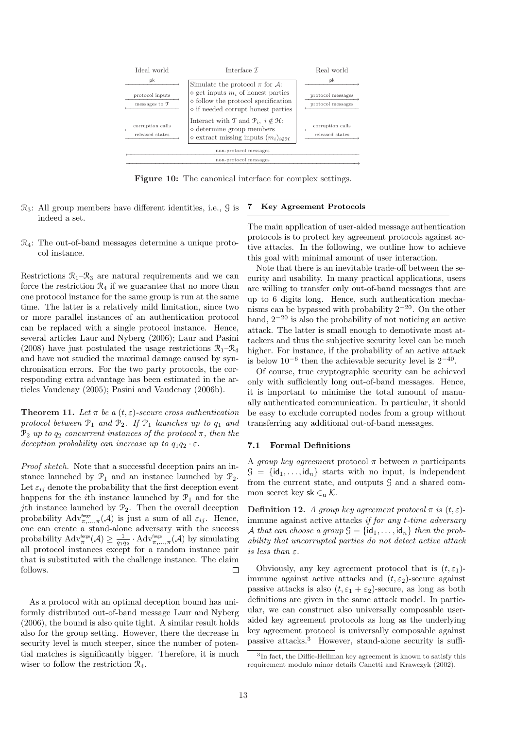

Figure 10: The canonical interface for complex settings.

 $\mathcal{R}_3$ : All group members have different identities, i.e.,  $\mathcal{G}$  is indeed a set.

# $\mathcal{R}_4$ : The out-of-band messages determine a unique protocol instance.

Restrictions  $\mathcal{R}_1-\mathcal{R}_3$  are natural requirements and we can force the restriction  $\mathcal{R}_4$  if we guarantee that no more than one protocol instance for the same group is run at the same time. The latter is a relatively mild limitation, since two or more parallel instances of an authentication protocol can be replaced with a single protocol instance. Hence, several articles Laur and Nyberg (2006); Laur and Pasini (2008) have just postulated the usage restrictions  $\mathcal{R}_1-\mathcal{R}_4$ and have not studied the maximal damage caused by synchronisation errors. For the two party protocols, the corresponding extra advantage has been estimated in the articles Vaudenay (2005); Pasini and Vaudenay (2006b).

**Theorem 11.** Let  $\pi$  be a  $(t, \varepsilon)$ -secure cross authentication protocol between  $\mathcal{P}_1$  and  $\mathcal{P}_2$ . If  $\mathcal{P}_1$  launches up to  $q_1$  and  $\mathcal{P}_2$  up to  $q_2$  concurrent instances of the protocol  $\pi$ , then the deception probability can increase up to  $q_1q_2 \cdot \varepsilon$ .

Proof sketch. Note that a successful deception pairs an instance launched by  $\mathcal{P}_1$  and an instance launched by  $\mathcal{P}_2$ . Let  $\varepsilon_{ij}$  denote the probability that the first deception event happens for the *i*th instance launched by  $\mathcal{P}_1$  and for the *j*th instance launched by  $\mathcal{P}_2$ . Then the overall deception probability  $\mathrm{Adv}_{\pi,\ldots,\pi}^{\mathrm{forge}}(\mathcal{A})$  is just a sum of all  $\varepsilon_{ij}$ . Hence, one can create a stand-alone adversary with the success probability  $\mathrm{Adv}_{\pi}^{\text{force}}(\mathcal{A}) \ge \frac{1}{q_1q_2} \cdot \mathrm{Adv}_{\pi,\dots,\pi}^{\text{force}}(\mathcal{A})$  by simulating all protocol instances except for a random instance pair that is substituted with the challenge instance. The claim follows. П

As a protocol with an optimal deception bound has uniformly distributed out-of-band message Laur and Nyberg (2006), the bound is also quite tight. A similar result holds also for the group setting. However, there the decrease in security level is much steeper, since the number of potential matches is significantly bigger. Therefore, it is much wiser to follow the restriction  $\mathcal{R}_4$ .

#### 7 Key Agreement Protocols

The main application of user-aided message authentication protocols is to protect key agreement protocols against active attacks. In the following, we outline how to achieve this goal with minimal amount of user interaction.

Note that there is an inevitable trade-off between the security and usability. In many practical applications, users are willing to transfer only out-of-band messages that are up to 6 digits long. Hence, such authentication mechanisms can be bypassed with probability  $2^{-20}$ . On the other hand,  $2^{-20}$  is also the probability of not noticing an active attack. The latter is small enough to demotivate most attackers and thus the subjective security level can be much higher. For instance, if the probability of an active attack is below  $10^{-6}$  then the achievable security level is  $2^{-40}$ .

Of course, true cryptographic security can be achieved only with sufficiently long out-of-band messages. Hence, it is important to minimise the total amount of manually authenticated communication. In particular, it should be easy to exclude corrupted nodes from a group without transferring any additional out-of-band messages.

# 7.1 Formal Definitions

A *group key agreement* protocol  $\pi$  between *n* participants  $\mathcal{G} = \{\mathsf{id}_1, \ldots, \mathsf{id}_n\}$  starts with no input, is independent from the current state, and outputs G and a shared common secret key sk  $\in_{\mathfrak{u}} \mathcal{K}$ .

**Definition 12.** A group key agreement protocol  $\pi$  is  $(t, \varepsilon)$ immune against active attacks if for any t-time adversary A that can choose a group  $\mathcal{G} = \{id_1, \ldots, id_n\}$  then the probability that uncorrupted parties do not detect active attack is less than  $\varepsilon$ .

Obviously, any key agreement protocol that is  $(t, \varepsilon_1)$ immune against active attacks and  $(t, \varepsilon_2)$ -secure against passive attacks is also  $(t, \varepsilon_1 + \varepsilon_2)$ -secure, as long as both definitions are given in the same attack model. In particular, we can construct also universally composable useraided key agreement protocols as long as the underlying key agreement protocol is universally composable against passive attacks.<sup>3</sup> However, stand-alone security is suffi-

<sup>&</sup>lt;sup>3</sup>In fact, the Diffie-Hellman key agreement is known to satisfy this requirement modulo minor details Canetti and Krawczyk (2002),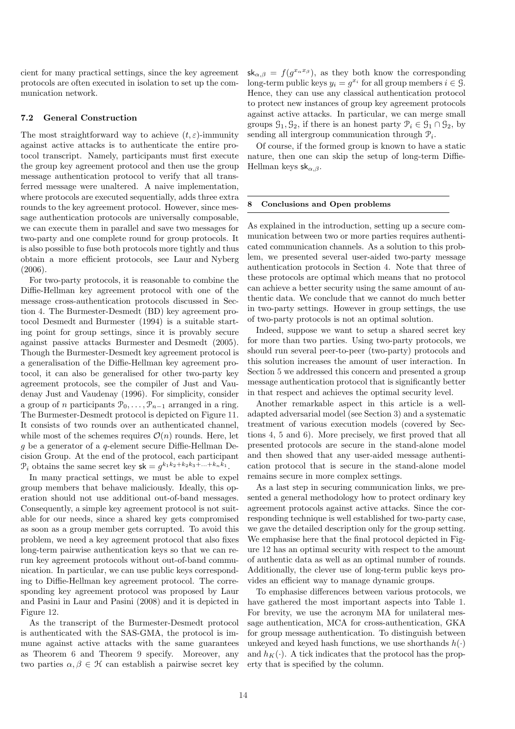cient for many practical settings, since the key agreement protocols are often executed in isolation to set up the communication network.

# 7.2 General Construction

The most straightforward way to achieve  $(t, \varepsilon)$ -immunity against active attacks is to authenticate the entire protocol transcript. Namely, participants must first execute the group key agreement protocol and then use the group message authentication protocol to verify that all transferred message were unaltered. A naive implementation, where protocols are executed sequentially, adds three extra rounds to the key agreement protocol. However, since message authentication protocols are universally composable, we can execute them in parallel and save two messages for two-party and one complete round for group protocols. It is also possible to fuse both protocols more tightly and thus obtain a more efficient protocols, see Laur and Nyberg (2006).

For two-party protocols, it is reasonable to combine the Diffie-Hellman key agreement protocol with one of the message cross-authentication protocols discussed in Section 4. The Burmester-Desmedt (BD) key agreement protocol Desmedt and Burmester (1994) is a suitable starting point for group settings, since it is provably secure against passive attacks Burmester and Desmedt (2005). Though the Burmester-Desmedt key agreement protocol is a generalisation of the Diffie-Hellman key agreement protocol, it can also be generalised for other two-party key agreement protocols, see the compiler of Just and Vaudenay Just and Vaudenay (1996). For simplicity, consider a group of *n* participants  $\mathcal{P}_0, \ldots, \mathcal{P}_{n-1}$  arranged in a ring. The Burmester-Desmedt protocol is depicted on Figure 11. It consists of two rounds over an authenticated channel, while most of the schemes requires  $\mathcal{O}(n)$  rounds. Here, let g be a generator of a q-element secure Diffie-Hellman Decision Group. At the end of the protocol, each participant  $\mathcal{P}_i$  obtains the same secret key  $sk = g^{k_1 k_2 + k_2 k_3 + \ldots + k_n k_1}$ .

In many practical settings, we must be able to expel group members that behave maliciously. Ideally, this operation should not use additional out-of-band messages. Consequently, a simple key agreement protocol is not suitable for our needs, since a shared key gets compromised as soon as a group member gets corrupted. To avoid this problem, we need a key agreement protocol that also fixes long-term pairwise authentication keys so that we can rerun key agreement protocols without out-of-band communication. In particular, we can use public keys corresponding to Diffie-Hellman key agreement protocol. The corresponding key agreement protocol was proposed by Laur and Pasini in Laur and Pasini (2008) and it is depicted in Figure 12.

As the transcript of the Burmester-Desmedt protocol is authenticated with the SAS-GMA, the protocol is immune against active attacks with the same guarantees as Theorem 6 and Theorem 9 specify. Moreover, any two parties  $\alpha, \beta \in \mathcal{H}$  can establish a pairwise secret key

 $sk_{\alpha,\beta} = f(g^{x_{\alpha}x_{\beta}})$ , as they both know the corresponding long-term public keys  $y_i = g^{x_i}$  for all group members  $i \in \mathcal{G}$ . Hence, they can use any classical authentication protocol to protect new instances of group key agreement protocols against active attacks. In particular, we can merge small groups  $\mathcal{G}_1, \mathcal{G}_2$ , if there is an honest party  $\mathcal{P}_i \in \mathcal{G}_1 \cap \mathcal{G}_2$ , by sending all intergroup communication through  $\mathcal{P}_i$ .

Of course, if the formed group is known to have a static nature, then one can skip the setup of long-term Diffie-Hellman keys  $\mathsf{sk}_{\alpha,\beta}$ .

#### 8 Conclusions and Open problems

As explained in the introduction, setting up a secure communication between two or more parties requires authenticated communication channels. As a solution to this problem, we presented several user-aided two-party message authentication protocols in Section 4. Note that three of these protocols are optimal which means that no protocol can achieve a better security using the same amount of authentic data. We conclude that we cannot do much better in two-party settings. However in group settings, the use of two-party protocols is not an optimal solution.

Indeed, suppose we want to setup a shared secret key for more than two parties. Using two-party protocols, we should run several peer-to-peer (two-party) protocols and this solution increases the amount of user interaction. In Section 5 we addressed this concern and presented a group message authentication protocol that is significantly better in that respect and achieves the optimal security level.

Another remarkable aspect in this article is a welladapted adversarial model (see Section 3) and a systematic treatment of various execution models (covered by Sections 4, 5 and 6). More precisely, we first proved that all presented protocols are secure in the stand-alone model and then showed that any user-aided message authentication protocol that is secure in the stand-alone model remains secure in more complex settings.

As a last step in securing communication links, we presented a general methodology how to protect ordinary key agreement protocols against active attacks. Since the corresponding technique is well established for two-party case, we gave the detailed description only for the group setting. We emphasise here that the final protocol depicted in Figure 12 has an optimal security with respect to the amount of authentic data as well as an optimal number of rounds. Additionally, the clever use of long-term public keys provides an efficient way to manage dynamic groups.

To emphasise differences between various protocols, we have gathered the most important aspects into Table 1. For brevity, we use the acronym MA for unilateral message authentication, MCA for cross-authentication, GKA for group message authentication. To distinguish between unkeyed and keyed hash functions, we use shorthands  $h(\cdot)$ and  $h_K(\cdot)$ . A tick indicates that the protocol has the property that is specified by the column.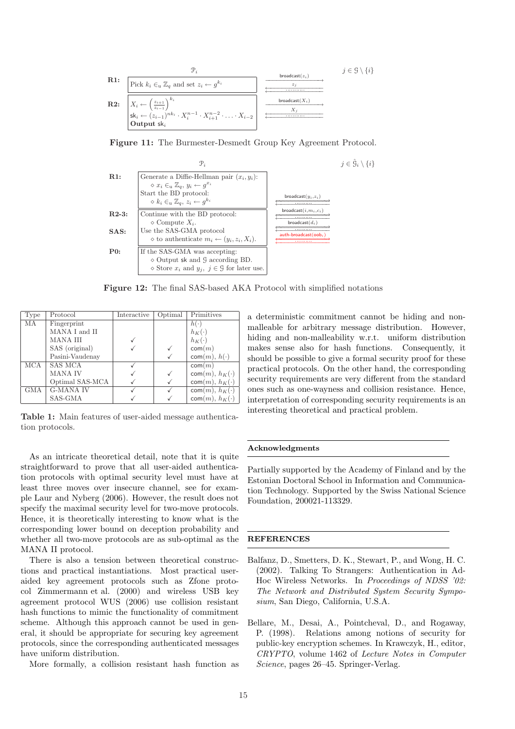

Figure 11: The Burmester-Desmedt Group Key Agreement Protocol.

|                | $\mathcal{P}_i$                                                                                                                                                                                |                                                                                    | $i \in \mathcal{G}_i \setminus \{i\}$ |
|----------------|------------------------------------------------------------------------------------------------------------------------------------------------------------------------------------------------|------------------------------------------------------------------------------------|---------------------------------------|
| R1:            | Generate a Diffie-Hellman pair $(x_i, y_i)$ :<br>$\Diamond x_i \in \mathcal{Z}_a, y_i \leftarrow g^{x_i}$<br>Start the BD protocol:<br>$\Diamond k_i \in \mathbb{Z}_a, z_i \leftarrow q^{k_i}$ | broadcast $(y_i, z_i)$<br>.<br>broadcast $(i, m_i, c_i)$<br>.<br>broadcast $(d_i)$ |                                       |
| $R2-3$<br>SAS: | Continue with the BD protocol:<br>$\Diamond$ Compute $X_i$ .<br>Use the SAS-GMA protocol                                                                                                       |                                                                                    |                                       |
|                | $\diamond$ to authenticate $m_i \leftarrow (y_i, z_i, X_i)$ .                                                                                                                                  | $auth\text{-}broadcast(oob_i)$                                                     |                                       |
| P <sub>0</sub> | If the SAS-GMA was accepting:<br>$\diamond$ Output sk and $\beta$ according BD.<br>$\Diamond$ Store $x_i$ and $y_j$ , $j \in \mathcal{G}$ for later use.                                       |                                                                                    |                                       |

Figure 12: The final SAS-based AKA Protocol with simplified notations

| Type       | Protocol         | Interactive | Optimal | Primitives                               |
|------------|------------------|-------------|---------|------------------------------------------|
| МA         | Fingerprint      |             |         | $h(\cdot)$                               |
|            | MANA I and II    |             |         | $h_K(\cdot)$                             |
|            | MANA III         |             |         | $h_K(\cdot)$                             |
|            | SAS (original)   |             |         | com(m)                                   |
|            | Pasini-Vaudenav  |             |         | com $(m)$ , $h(\cdot)$                   |
| MCA        | <b>SAS MCA</b>   |             |         | com(m)                                   |
|            | MANA IV          |             |         | com $(m)$ , $h_K(\cdot)$                 |
|            | Optimal SAS-MCA  |             |         | com $(m), h_K(\cdot)$                    |
| <b>GMA</b> | <b>G-MANA IV</b> |             |         | $\overline{\mathsf{com}(m), h_K}(\cdot)$ |
|            | SAS-GMA          |             |         | com $(m), h_K(\cdot)$                    |

Table 1: Main features of user-aided message authentication protocols.

As an intricate theoretical detail, note that it is quite straightforward to prove that all user-aided authentication protocols with optimal security level must have at least three moves over insecure channel, see for example Laur and Nyberg (2006). However, the result does not specify the maximal security level for two-move protocols. Hence, it is theoretically interesting to know what is the corresponding lower bound on deception probability and whether all two-move protocols are as sub-optimal as the MANA II protocol.

There is also a tension between theoretical constructions and practical instantiations. Most practical useraided key agreement protocols such as Zfone protocol Zimmermann et al. (2000) and wireless USB key agreement protocol WUS (2006) use collision resistant hash functions to mimic the functionality of commitment scheme. Although this approach cannot be used in general, it should be appropriate for securing key agreement protocols, since the corresponding authenticated messages have uniform distribution.

More formally, a collision resistant hash function as

a deterministic commitment cannot be hiding and nonmalleable for arbitrary message distribution. However, hiding and non-malleability w.r.t. uniform distribution makes sense also for hash functions. Consequently, it should be possible to give a formal security proof for these practical protocols. On the other hand, the corresponding security requirements are very different from the standard ones such as one-wayness and collision resistance. Hence, interpretation of corresponding security requirements is an interesting theoretical and practical problem.

#### Acknowledgments

Partially supported by the Academy of Finland and by the Estonian Doctoral School in Information and Communication Technology. Supported by the Swiss National Science Foundation, 200021-113329.

## **REFERENCES**

- Balfanz, D., Smetters, D. K., Stewart, P., and Wong, H. C. (2002). Talking To Strangers: Authentication in Ad-Hoc Wireless Networks. In Proceedings of NDSS '02: The Network and Distributed System Security Symposium, San Diego, California, U.S.A.
- Bellare, M., Desai, A., Pointcheval, D., and Rogaway, P. (1998). Relations among notions of security for public-key encryption schemes. In Krawczyk, H., editor, CRYPTO, volume 1462 of Lecture Notes in Computer Science, pages 26–45. Springer-Verlag.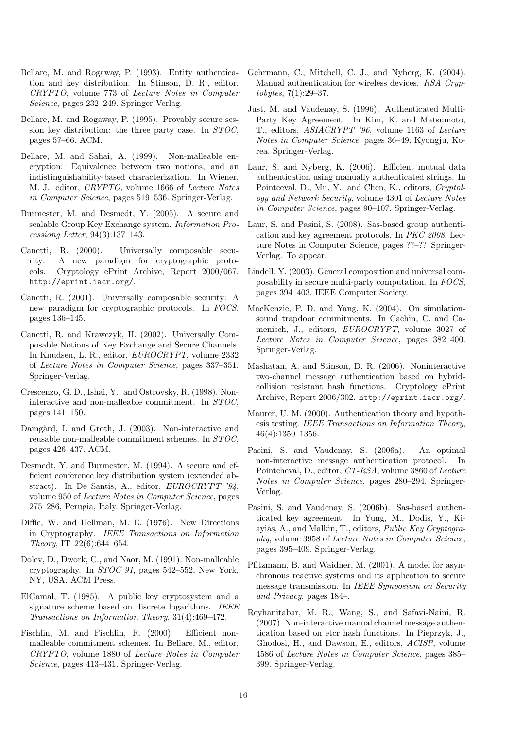- Bellare, M. and Rogaway, P. (1993). Entity authentication and key distribution. In Stinson, D. R., editor, CRYPTO, volume 773 of Lecture Notes in Computer Science, pages 232–249. Springer-Verlag.
- Bellare, M. and Rogaway, P. (1995). Provably secure session key distribution: the three party case. In STOC, pages 57–66. ACM.
- Bellare, M. and Sahai, A. (1999). Non-malleable encryption: Equivalence between two notions, and an indistinguishability-based characterization. In Wiener, M. J., editor, CRYPTO, volume 1666 of Lecture Notes in Computer Science, pages 519–536. Springer-Verlag.
- Burmester, M. and Desmedt, Y. (2005). A secure and scalable Group Key Exchange system. Information Processiong Letter, 94(3):137–143.
- Canetti, R. (2000). Universally composable security: A new paradigm for cryptographic protocols. Cryptology ePrint Archive, Report 2000/067. http://eprint.iacr.org/.
- Canetti, R. (2001). Universally composable security: A new paradigm for cryptographic protocols. In FOCS, pages 136–145.
- Canetti, R. and Krawczyk, H. (2002). Universally Composable Notions of Key Exchange and Secure Channels. In Knudsen, L. R., editor, EUROCRYPT, volume 2332 of Lecture Notes in Computer Science, pages 337–351. Springer-Verlag.
- Crescenzo, G. D., Ishai, Y., and Ostrovsky, R. (1998). Noninteractive and non-malleable commitment. In STOC, pages 141–150.
- Damgård, I. and Groth, J. (2003). Non-interactive and reusable non-malleable commitment schemes. In STOC, pages 426–437. ACM.
- Desmedt, Y. and Burmester, M. (1994). A secure and efficient conference key distribution system (extended abstract). In De Santis, A., editor, EUROCRYPT '94, volume 950 of Lecture Notes in Computer Science, pages 275–286, Perugia, Italy. Springer-Verlag.
- Diffie, W. and Hellman, M. E. (1976). New Directions in Cryptography. IEEE Transactions on Information Theory, IT–22(6):644–654.
- Dolev, D., Dwork, C., and Naor, M. (1991). Non-malleable cryptography. In STOC 91, pages 542–552, New York, NY, USA. ACM Press.
- ElGamal, T. (1985). A public key cryptosystem and a signature scheme based on discrete logarithms. IEEE Transactions on Information Theory, 31(4):469–472.
- Fischlin, M. and Fischlin, R. (2000). Efficient nonmalleable commitment schemes. In Bellare, M., editor, CRYPTO, volume 1880 of Lecture Notes in Computer Science, pages 413–431. Springer-Verlag.
- Gehrmann, C., Mitchell, C. J., and Nyberg, K. (2004). Manual authentication for wireless devices. RSA Cryptobytes, 7(1):29–37.
- Just, M. and Vaudenay, S. (1996). Authenticated Multi-Party Key Agreement. In Kim, K. and Matsumoto, T., editors, ASIACRYPT '96, volume 1163 of Lecture Notes in Computer Science, pages 36–49, Kyongju, Korea. Springer-Verlag.
- Laur, S. and Nyberg, K. (2006). Efficient mutual data authentication using manually authenticated strings. In Pointceval, D., Mu, Y., and Chen, K., editors, Cryptology and Network Security, volume 4301 of Lecture Notes in Computer Science, pages 90–107. Springer-Verlag.
- Laur, S. and Pasini, S. (2008). Sas-based group authentication and key agreement protocols. In PKC 2008, Lecture Notes in Computer Science, pages ??–?? Springer-Verlag. To appear.
- Lindell, Y. (2003). General composition and universal composability in secure multi-party computation. In FOCS, pages 394–403. IEEE Computer Society.
- MacKenzie, P. D. and Yang, K. (2004). On simulationsound trapdoor commitments. In Cachin, C. and Camenisch, J., editors, EUROCRYPT, volume 3027 of Lecture Notes in Computer Science, pages 382–400. Springer-Verlag.
- Mashatan, A. and Stinson, D. R. (2006). Noninteractive two-channel message authentication based on hybridcollision resistant hash functions. Cryptology ePrint Archive, Report 2006/302. http://eprint.iacr.org/.
- Maurer, U. M. (2000). Authentication theory and hypothesis testing. IEEE Transactions on Information Theory, 46(4):1350–1356.
- Pasini, S. and Vaudenay, S. (2006a). An optimal non-interactive message authentication protocol. In Pointcheval, D., editor, CT-RSA, volume 3860 of Lecture Notes in Computer Science, pages 280–294. Springer-Verlag.
- Pasini, S. and Vaudenay, S. (2006b). Sas-based authenticated key agreement. In Yung, M., Dodis, Y., Kiayias, A., and Malkin, T., editors, Public Key Cryptography, volume 3958 of Lecture Notes in Computer Science, pages 395–409. Springer-Verlag.
- Pfitzmann, B. and Waidner, M. (2001). A model for asynchronous reactive systems and its application to secure message transmission. In IEEE Symposium on Security and Privacy, pages 184–.
- Reyhanitabar, M. R., Wang, S., and Safavi-Naini, R. (2007). Non-interactive manual channel message authentication based on etcr hash functions. In Pieprzyk, J., Ghodosi, H., and Dawson, E., editors, ACISP, volume 4586 of Lecture Notes in Computer Science, pages 385– 399. Springer-Verlag.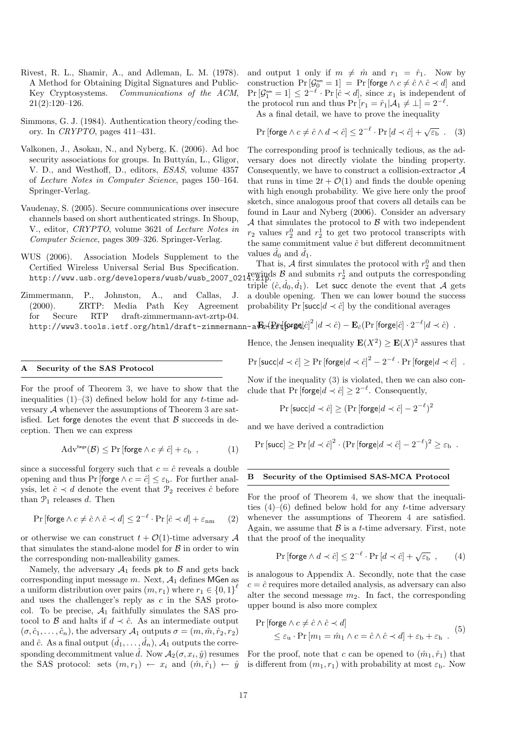- Rivest, R. L., Shamir, A., and Adleman, L. M. (1978). A Method for Obtaining Digital Signatures and Public-Key Cryptosystems. Communications of the ACM, 21(2):120–126.
- Simmons, G. J. (1984). Authentication theory/coding theory. In CRYPTO, pages 411–431.
- Valkonen, J., Asokan, N., and Nyberg, K. (2006). Ad hoc security associations for groups. In Buttyán, L., Gligor, V. D., and Westhoff, D., editors, ESAS, volume 4357 of Lecture Notes in Computer Science, pages 150–164. Springer-Verlag.
- Vaudenay, S. (2005). Secure communications over insecure channels based on short authenticated strings. In Shoup, V., editor, CRYPTO, volume 3621 of Lecture Notes in Computer Science, pages 309–326. Springer-Verlag.
- WUS (2006). Association Models Supplement to the Certified Wireless Universal Serial Bus Specification.
- Zimmermann, P., Johnston, A., and Callas, J. (2000). ZRTP: Media Path Key Agreement for Secure RTP draft-zimmermann-avt-zrtp-04. http://www3.tools.ietf.org/html/draft-zimmermann

#### A Security of the SAS Protocol

For the proof of Theorem 3, we have to show that the inequalities  $(1)$ – $(3)$  defined below hold for any t-time adversary  $A$  whenever the assumptions of Theorem 3 are satisfied. Let forge denotes the event that  $\beta$  succeeds in deception. Then we can express

$$
Advfore(B) \le Pr[forge \wedge c \neq \hat{c}] + \varepsilon_b , \qquad (1)
$$

since a successful forgery such that  $c = \hat{c}$  reveals a double opening and thus Pr [forge  $\wedge c = \hat{c}$ ]  $\leq \varepsilon_{\rm b}$ . For further analysis, let  $\hat{c} \prec d$  denote the event that  $\mathcal{P}_2$  receives  $\hat{c}$  before than  $\mathcal{P}_1$  releases d. Then

$$
\Pr\left[\text{forget } \land c \neq \hat{c} \land \hat{c} \prec d\right] \leq 2^{-\ell} \cdot \Pr\left[\hat{c} \prec d\right] + \varepsilon_{nm} \qquad (2)
$$

or otherwise we can construct  $t + \mathcal{O}(1)$ -time adversary A that simulates the stand-alone model for  $\beta$  in order to win the corresponding non-malleability games.

Namely, the adversary  $A_1$  feeds pk to  $B$  and gets back corresponding input message  $m$ . Next,  $A_1$  defines MGen as a uniform distribution over pairs  $(m, r_1)$  where  $r_1 \in \{0, 1\}^{\ell}$ and uses the challenger's reply as  $c$  in the SAS protocol. To be precise,  $A_1$  faithfully simulates the SAS protocol to B and halts if  $d \prec \hat{c}$ . As an intermediate output  $(\sigma, \hat{c}_1, \ldots, \hat{c}_n)$ , the adversary  $\mathcal{A}_1$  outputs  $\sigma = (m, \hat{m}, \hat{r}_2, r_2)$ and  $\hat{c}$ . As a final output  $(\hat{d}_1, \ldots, \hat{d}_n)$ ,  $\mathcal{A}_1$  outputs the corresponding decommitment value  $\hat{d}$ . Now  $\mathcal{A}_2(\sigma, x_i, \hat{y})$  resumes the SAS protocol: sets  $(m, r_1) \leftarrow x_i$  and  $(\hat{m}, \hat{r}_1) \leftarrow \hat{y}$  and output 1 only if  $m \neq \hat{m}$  and  $r_1 = \hat{r}_1$ . Now by construction  $\Pr\left[\mathcal{G}_0^{\text{nm}}=1\right] = \Pr\left[\text{forget } \land c \neq \hat{c} \land \hat{c} \prec d\right]$  and  $Pr[\mathcal{G}_1^{\text{nm}} = 1] \leq 2^{-\ell} \cdot Pr[\hat{c} \prec d],$  since  $x_1$  is independent of the protocol run and thus  $Pr[r_1 = \hat{r}_1 | A_1 \neq \bot] = 2^{-\ell}$ .

As a final detail, we have to prove the inequality

$$
\Pr\left[\text{forget } \wedge c \neq \hat{c} \wedge d \prec \hat{c}\right] \leq 2^{-\ell} \cdot \Pr\left[d \prec \hat{c}\right] + \sqrt{\varepsilon_{\mathbf{b}}} \quad . \quad (3)
$$

The corresponding proof is technically tedious, as the adversary does not directly violate the binding property. Consequently, we have to construct a collision-extractor  $A$ that runs in time  $2t + \mathcal{O}(1)$  and finds the double opening with high enough probability. We give here only the proof sketch, since analogous proof that covers all details can be found in Laur and Nyberg (2006). Consider an adversary A that simulates the protocol to  $\beta$  with two independent  $r_2$  values  $r_2^0$  and  $r_2^1$  to get two protocol transcripts with the same commitment value  $\hat{c}$  but different decommitment values  $\hat{d}_0$  and  $\hat{d}_1$ .

becomed where the corresponding that  $\frac{1}{2}$  becomed to the specification.<br>http://www.usb.org/developers/wusb/wusb\_2007\_0214.21p. That is,  $A$  first simulates the protocol with  $r_2^0$  and then Figure  $(\hat{c}, \hat{d}_0, \hat{d}_1)$ . Let succ denote the event that A gets a double opening. Then we can lower bound the success probability Pr [succ] $d \prec \hat{c}$ ] by the conditional averages

$$
_{1} - a \overline{\mathbf{E}}_{\widehat{\mathcal{C}}}(\mathbf{E}_{\mathbf{F}}[\mathbf{f} \mathbf{p} \mathbf{r} \mathbf{g} \mathbf{q}] \widehat{c}]^2 | d \prec \widehat{c}) - \mathbf{E}_{\widehat{c}}(\Pr\left[\text{forge}|\widehat{c}\right] \cdot 2^{-\ell} | d \prec \widehat{c}) \enspace .
$$

Hence, the Jensen inequality  $\mathbf{E}(X^2) \geq \mathbf{E}(X)^2$  assures that

 $\Pr\left[\mathsf{succ}|d \prec \hat{c}\right] \geq \Pr\left[\mathsf{forget}|d \prec \hat{c}\right]^2 - 2^{-\ell}\cdot \Pr\left[\mathsf{forget}|d \prec \hat{c}\right] \enspace .$ 

Now if the inequality (3) is violated, then we can also conclude that Pr [forge $|d \prec \hat{c}| \geq 2^{-\ell}$ . Consequently,

$$
\Pr[\mathsf{succ}|d \prec \hat{c}] \ge (\Pr[\mathsf{forget}|d \prec \hat{c}] - 2^{-\ell})^2
$$

and we have derived a contradiction

$$
\Pr[\mathsf{succ}] \geq \Pr\left[d \prec \hat{c}\right]^2 \cdot (\Pr[\mathsf{forget}|d \prec \hat{c}] - 2^{-\ell})^2 \geq \varepsilon_{\mathsf{b}}.
$$

## B Security of the Optimised SAS-MCA Protocol

For the proof of Theorem 4, we show that the inequalities  $(4)$ – $(6)$  defined below hold for any t-time adversary whenever the assumptions of Theorem 4 are satisfied. Again, we assume that  $\beta$  is a *t*-time adversary. First, note that the proof of the inequality

$$
\Pr\left[\text{forget } \wedge d \prec \hat{c}\right] \le 2^{-\ell} \cdot \Pr\left[d \prec \hat{c}\right] + \sqrt{\varepsilon_{\mathbf{b}}} \enspace , \qquad (4)
$$

is analogous to Appendix A. Secondly, note that the case  $c = \hat{c}$  requires more detailed analysis, as adversary can also alter the second message  $m_2$ . In fact, the corresponding upper bound is also more complex

$$
\Pr[\text{forget } \land c \neq \hat{c} \land \hat{c} \prec d] \leq \varepsilon_{\mathbf{u}} \cdot \Pr[m_1 = \hat{m}_1 \land c = \hat{c} \land \hat{c} \prec d] + \varepsilon_{\mathbf{b}} + \varepsilon_{\mathbf{h}} \quad (5)
$$

For the proof, note that c can be opened to  $(\hat{m}_1, \hat{r}_1)$  that is different from  $(m_1, r_1)$  with probability at most  $\varepsilon_{\rm b}$ . Now